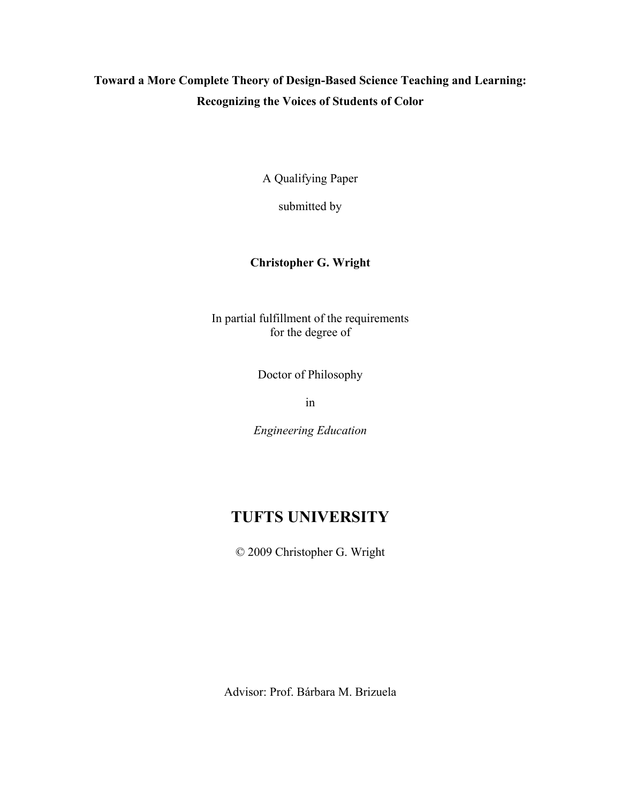# **Toward a More Complete Theory of Design-Based Science Teaching and Learning: Recognizing the Voices of Students of Color**

A Qualifying Paper

submitted by

# **Christopher G. Wright**

In partial fulfillment of the requirements for the degree of

Doctor of Philosophy

in

*Engineering Education* 

# **TUFTS UNIVERSITY**

© 2009 Christopher G. Wright

Advisor: Prof. Bárbara M. Brizuela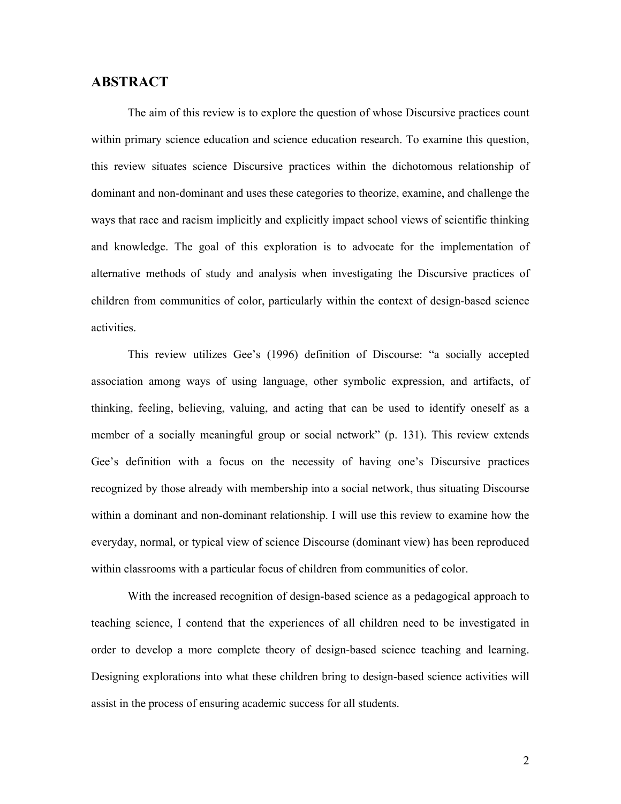# **ABSTRACT**

 The aim of this review is to explore the question of whose Discursive practices count within primary science education and science education research. To examine this question, this review situates science Discursive practices within the dichotomous relationship of dominant and non-dominant and uses these categories to theorize, examine, and challenge the ways that race and racism implicitly and explicitly impact school views of scientific thinking and knowledge. The goal of this exploration is to advocate for the implementation of alternative methods of study and analysis when investigating the Discursive practices of children from communities of color, particularly within the context of design-based science activities.

 This review utilizes Gee's (1996) definition of Discourse: "a socially accepted association among ways of using language, other symbolic expression, and artifacts, of thinking, feeling, believing, valuing, and acting that can be used to identify oneself as a member of a socially meaningful group or social network" (p. 131). This review extends Gee's definition with a focus on the necessity of having one's Discursive practices recognized by those already with membership into a social network, thus situating Discourse within a dominant and non-dominant relationship. I will use this review to examine how the everyday, normal, or typical view of science Discourse (dominant view) has been reproduced within classrooms with a particular focus of children from communities of color.

 With the increased recognition of design-based science as a pedagogical approach to teaching science, I contend that the experiences of all children need to be investigated in order to develop a more complete theory of design-based science teaching and learning. Designing explorations into what these children bring to design-based science activities will assist in the process of ensuring academic success for all students.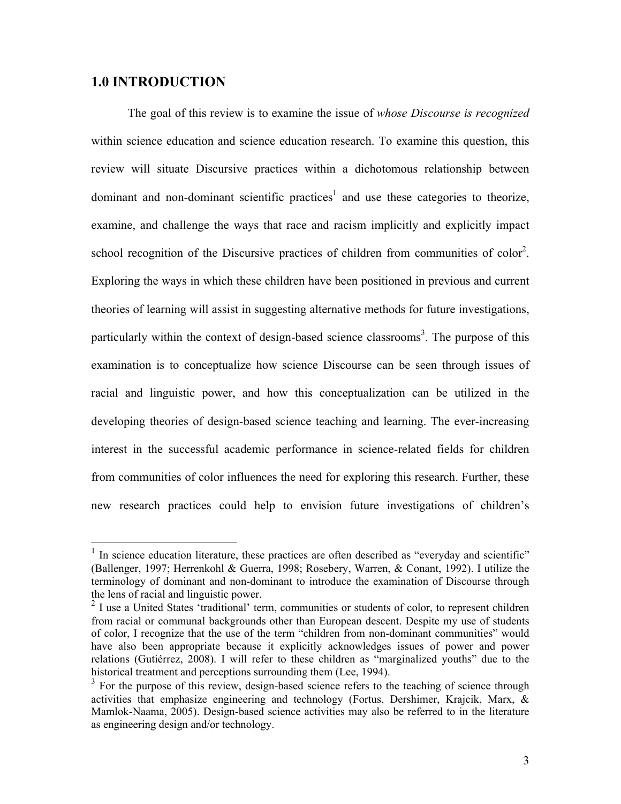# **1.0 INTRODUCTION**

 $\overline{a}$ 

 The goal of this review is to examine the issue of *whose Discourse is recognized*  within science education and science education research. To examine this question, this review will situate Discursive practices within a dichotomous relationship between dominant and non-dominant scientific practices<sup>1</sup> and use these categories to theorize, examine, and challenge the ways that race and racism implicitly and explicitly impact school recognition of the Discursive practices of children from communities of color<sup>2</sup>. Exploring the ways in which these children have been positioned in previous and current theories of learning will assist in suggesting alternative methods for future investigations, particularly within the context of design-based science classrooms<sup>3</sup>. The purpose of this examination is to conceptualize how science Discourse can be seen through issues of racial and linguistic power, and how this conceptualization can be utilized in the developing theories of design-based science teaching and learning. The ever-increasing interest in the successful academic performance in science-related fields for children from communities of color influences the need for exploring this research. Further, these new research practices could help to envision future investigations of children's

 $1$  In science education literature, these practices are often described as "everyday and scientific" (Ballenger, 1997; Herrenkohl & Guerra, 1998; Rosebery, Warren, & Conant, 1992). I utilize the terminology of dominant and non-dominant to introduce the examination of Discourse through the lens of racial and linguistic power.

 $2$  I use a United States 'traditional' term, communities or students of color, to represent children from racial or communal backgrounds other than European descent. Despite my use of students of color, I recognize that the use of the term "children from non-dominant communities" would have also been appropriate because it explicitly acknowledges issues of power and power relations (Gutiérrez, 2008). I will refer to these children as "marginalized youths" due to the historical treatment and perceptions surrounding them (Lee, 1994).

 $3$  For the purpose of this review, design-based science refers to the teaching of science through activities that emphasize engineering and technology (Fortus, Dershimer, Krajcik, Marx, & Mamlok-Naama, 2005). Design-based science activities may also be referred to in the literature as engineering design and/or technology.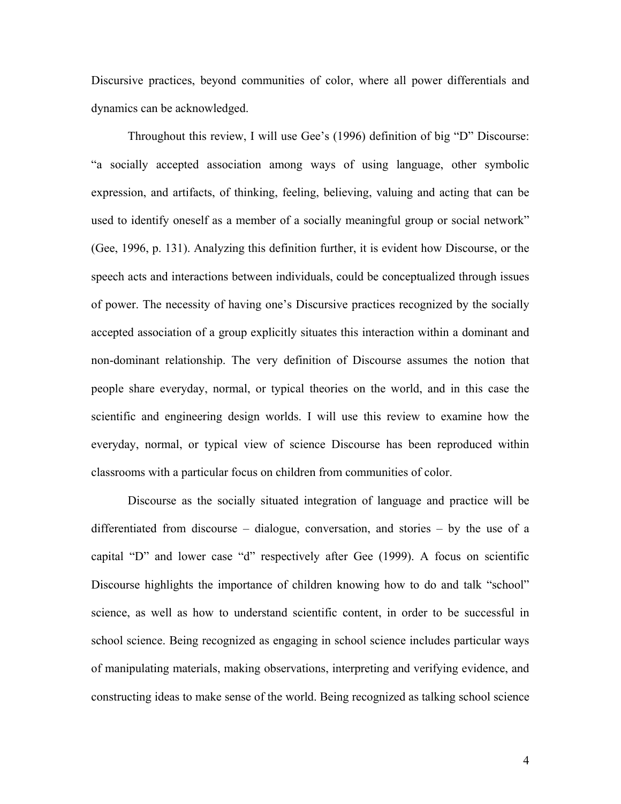Discursive practices, beyond communities of color, where all power differentials and dynamics can be acknowledged.

 Throughout this review, I will use Gee's (1996) definition of big "D" Discourse: "a socially accepted association among ways of using language, other symbolic expression, and artifacts, of thinking, feeling, believing, valuing and acting that can be used to identify oneself as a member of a socially meaningful group or social network" (Gee, 1996, p. 131). Analyzing this definition further, it is evident how Discourse, or the speech acts and interactions between individuals, could be conceptualized through issues of power. The necessity of having one's Discursive practices recognized by the socially accepted association of a group explicitly situates this interaction within a dominant and non-dominant relationship. The very definition of Discourse assumes the notion that people share everyday, normal, or typical theories on the world, and in this case the scientific and engineering design worlds. I will use this review to examine how the everyday, normal, or typical view of science Discourse has been reproduced within classrooms with a particular focus on children from communities of color.

 Discourse as the socially situated integration of language and practice will be differentiated from discourse – dialogue, conversation, and stories – by the use of a capital "D" and lower case "d" respectively after Gee (1999). A focus on scientific Discourse highlights the importance of children knowing how to do and talk "school" science, as well as how to understand scientific content, in order to be successful in school science. Being recognized as engaging in school science includes particular ways of manipulating materials, making observations, interpreting and verifying evidence, and constructing ideas to make sense of the world. Being recognized as talking school science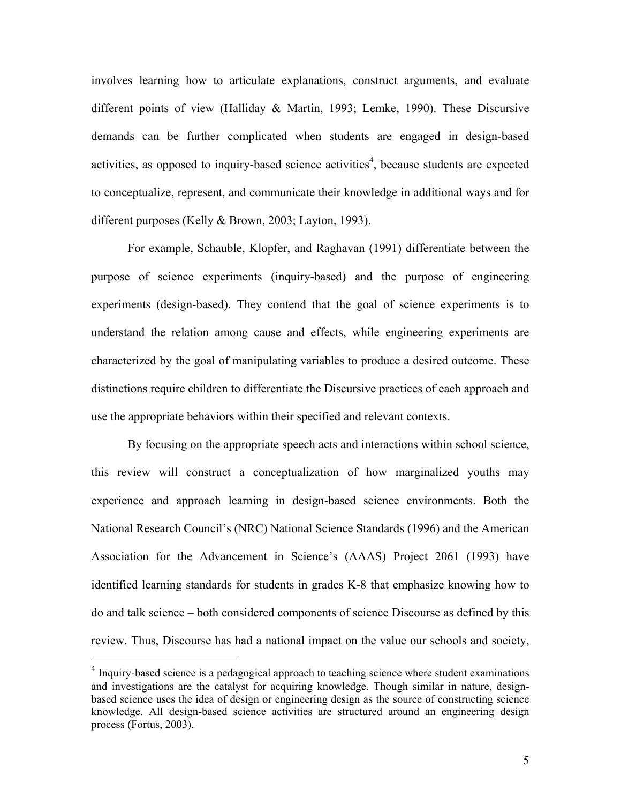involves learning how to articulate explanations, construct arguments, and evaluate different points of view (Halliday & Martin, 1993; Lemke, 1990). These Discursive demands can be further complicated when students are engaged in design-based activities, as opposed to inquiry-based science activities<sup>4</sup>, because students are expected to conceptualize, represent, and communicate their knowledge in additional ways and for different purposes (Kelly & Brown, 2003; Layton, 1993).

 For example, Schauble, Klopfer, and Raghavan (1991) differentiate between the purpose of science experiments (inquiry-based) and the purpose of engineering experiments (design-based). They contend that the goal of science experiments is to understand the relation among cause and effects, while engineering experiments are characterized by the goal of manipulating variables to produce a desired outcome. These distinctions require children to differentiate the Discursive practices of each approach and use the appropriate behaviors within their specified and relevant contexts.

 By focusing on the appropriate speech acts and interactions within school science, this review will construct a conceptualization of how marginalized youths may experience and approach learning in design-based science environments. Both the National Research Council's (NRC) National Science Standards (1996) and the American Association for the Advancement in Science's (AAAS) Project 2061 (1993) have identified learning standards for students in grades K-8 that emphasize knowing how to do and talk science – both considered components of science Discourse as defined by this review. Thus, Discourse has had a national impact on the value our schools and society,

 $\overline{a}$ 

 $4$  Inquiry-based science is a pedagogical approach to teaching science where student examinations and investigations are the catalyst for acquiring knowledge. Though similar in nature, designbased science uses the idea of design or engineering design as the source of constructing science knowledge. All design-based science activities are structured around an engineering design process (Fortus, 2003).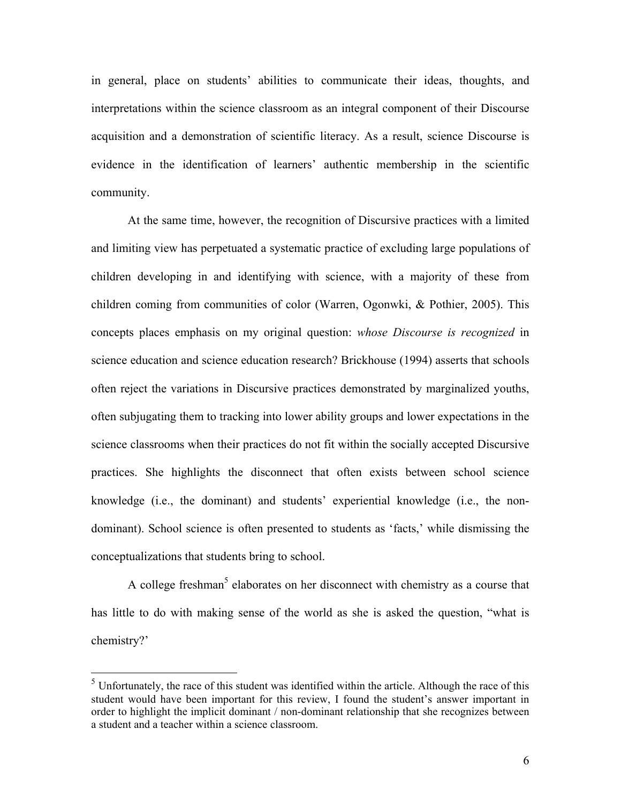in general, place on students' abilities to communicate their ideas, thoughts, and interpretations within the science classroom as an integral component of their Discourse acquisition and a demonstration of scientific literacy. As a result, science Discourse is evidence in the identification of learners' authentic membership in the scientific community.

 At the same time, however, the recognition of Discursive practices with a limited and limiting view has perpetuated a systematic practice of excluding large populations of children developing in and identifying with science, with a majority of these from children coming from communities of color (Warren, Ogonwki, & Pothier, 2005). This concepts places emphasis on my original question: *whose Discourse is recognized* in science education and science education research? Brickhouse (1994) asserts that schools often reject the variations in Discursive practices demonstrated by marginalized youths, often subjugating them to tracking into lower ability groups and lower expectations in the science classrooms when their practices do not fit within the socially accepted Discursive practices. She highlights the disconnect that often exists between school science knowledge (i.e., the dominant) and students' experiential knowledge (i.e., the nondominant). School science is often presented to students as 'facts,' while dismissing the conceptualizations that students bring to school.

A college freshman<sup>5</sup> elaborates on her disconnect with chemistry as a course that has little to do with making sense of the world as she is asked the question, "what is chemistry?'

 $\overline{a}$ 

 $<sup>5</sup>$  Unfortunately, the race of this student was identified within the article. Although the race of this</sup> student would have been important for this review, I found the student's answer important in order to highlight the implicit dominant / non-dominant relationship that she recognizes between a student and a teacher within a science classroom.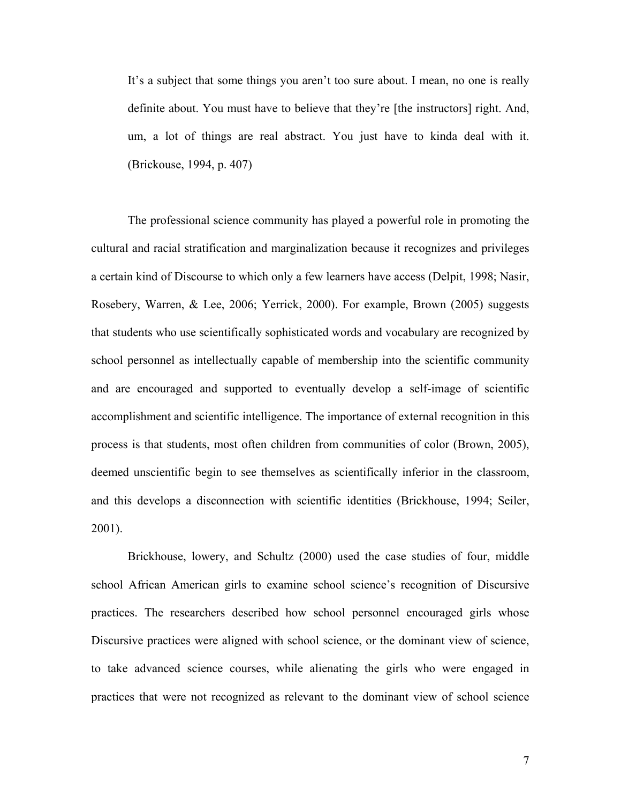It's a subject that some things you aren't too sure about. I mean, no one is really definite about. You must have to believe that they're [the instructors] right. And, um, a lot of things are real abstract. You just have to kinda deal with it. (Brickouse, 1994, p. 407)

 The professional science community has played a powerful role in promoting the cultural and racial stratification and marginalization because it recognizes and privileges a certain kind of Discourse to which only a few learners have access (Delpit, 1998; Nasir, Rosebery, Warren, & Lee, 2006; Yerrick, 2000). For example, Brown (2005) suggests that students who use scientifically sophisticated words and vocabulary are recognized by school personnel as intellectually capable of membership into the scientific community and are encouraged and supported to eventually develop a self-image of scientific accomplishment and scientific intelligence. The importance of external recognition in this process is that students, most often children from communities of color (Brown, 2005), deemed unscientific begin to see themselves as scientifically inferior in the classroom, and this develops a disconnection with scientific identities (Brickhouse, 1994; Seiler, 2001).

 Brickhouse, lowery, and Schultz (2000) used the case studies of four, middle school African American girls to examine school science's recognition of Discursive practices. The researchers described how school personnel encouraged girls whose Discursive practices were aligned with school science, or the dominant view of science, to take advanced science courses, while alienating the girls who were engaged in practices that were not recognized as relevant to the dominant view of school science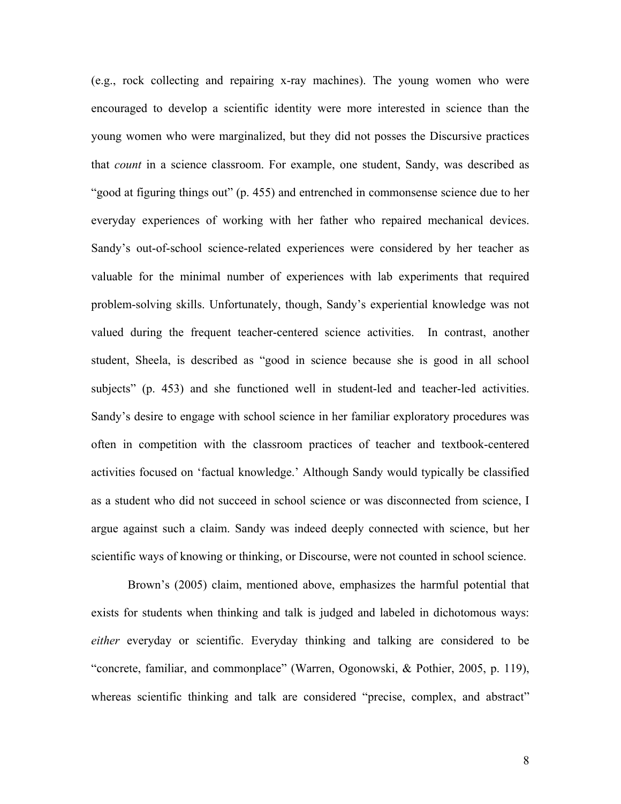(e.g., rock collecting and repairing x-ray machines). The young women who were encouraged to develop a scientific identity were more interested in science than the young women who were marginalized, but they did not posses the Discursive practices that *count* in a science classroom. For example, one student, Sandy, was described as "good at figuring things out" (p. 455) and entrenched in commonsense science due to her everyday experiences of working with her father who repaired mechanical devices. Sandy's out-of-school science-related experiences were considered by her teacher as valuable for the minimal number of experiences with lab experiments that required problem-solving skills. Unfortunately, though, Sandy's experiential knowledge was not valued during the frequent teacher-centered science activities. In contrast, another student, Sheela, is described as "good in science because she is good in all school subjects" (p. 453) and she functioned well in student-led and teacher-led activities. Sandy's desire to engage with school science in her familiar exploratory procedures was often in competition with the classroom practices of teacher and textbook-centered activities focused on 'factual knowledge.' Although Sandy would typically be classified as a student who did not succeed in school science or was disconnected from science, I argue against such a claim. Sandy was indeed deeply connected with science, but her scientific ways of knowing or thinking, or Discourse, were not counted in school science.

 Brown's (2005) claim, mentioned above, emphasizes the harmful potential that exists for students when thinking and talk is judged and labeled in dichotomous ways: *either* everyday or scientific. Everyday thinking and talking are considered to be "concrete, familiar, and commonplace" (Warren, Ogonowski, & Pothier, 2005, p. 119), whereas scientific thinking and talk are considered "precise, complex, and abstract"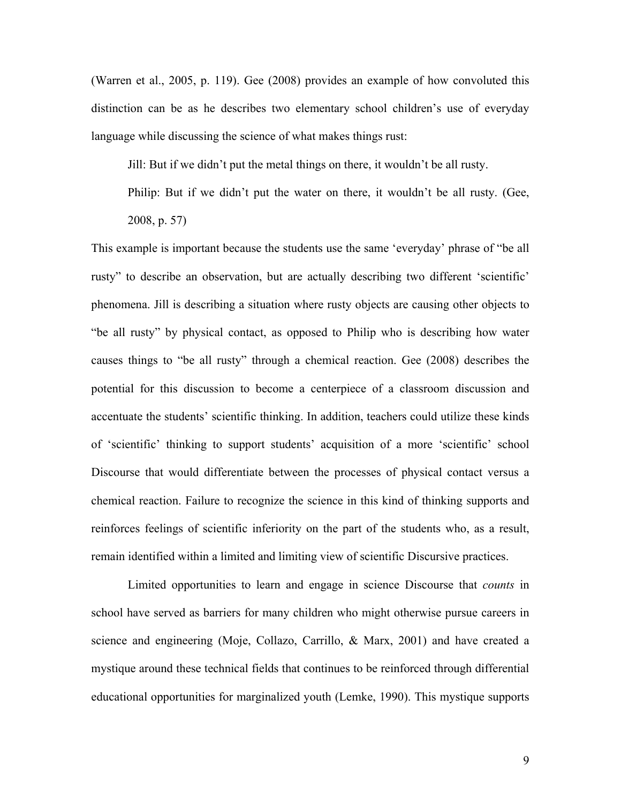(Warren et al., 2005, p. 119). Gee (2008) provides an example of how convoluted this distinction can be as he describes two elementary school children's use of everyday language while discussing the science of what makes things rust:

Jill: But if we didn't put the metal things on there, it wouldn't be all rusty.

Philip: But if we didn't put the water on there, it wouldn't be all rusty. (Gee, 2008, p. 57)

This example is important because the students use the same 'everyday' phrase of "be all rusty" to describe an observation, but are actually describing two different 'scientific' phenomena. Jill is describing a situation where rusty objects are causing other objects to "be all rusty" by physical contact, as opposed to Philip who is describing how water causes things to "be all rusty" through a chemical reaction. Gee (2008) describes the potential for this discussion to become a centerpiece of a classroom discussion and accentuate the students' scientific thinking. In addition, teachers could utilize these kinds of 'scientific' thinking to support students' acquisition of a more 'scientific' school Discourse that would differentiate between the processes of physical contact versus a chemical reaction. Failure to recognize the science in this kind of thinking supports and reinforces feelings of scientific inferiority on the part of the students who, as a result, remain identified within a limited and limiting view of scientific Discursive practices.

 Limited opportunities to learn and engage in science Discourse that *counts* in school have served as barriers for many children who might otherwise pursue careers in science and engineering (Moje, Collazo, Carrillo, & Marx, 2001) and have created a mystique around these technical fields that continues to be reinforced through differential educational opportunities for marginalized youth (Lemke, 1990). This mystique supports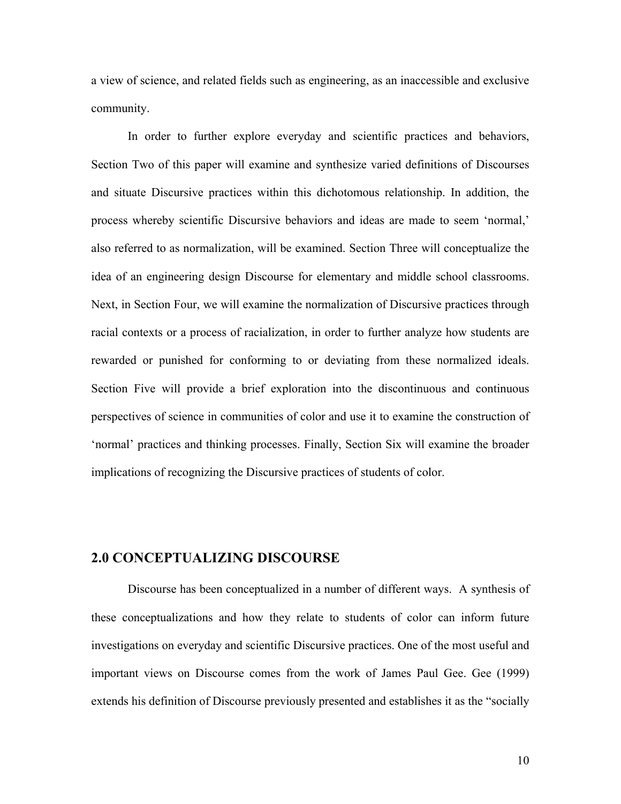a view of science, and related fields such as engineering, as an inaccessible and exclusive community.

 In order to further explore everyday and scientific practices and behaviors, Section Two of this paper will examine and synthesize varied definitions of Discourses and situate Discursive practices within this dichotomous relationship. In addition, the process whereby scientific Discursive behaviors and ideas are made to seem 'normal,' also referred to as normalization, will be examined. Section Three will conceptualize the idea of an engineering design Discourse for elementary and middle school classrooms. Next, in Section Four, we will examine the normalization of Discursive practices through racial contexts or a process of racialization, in order to further analyze how students are rewarded or punished for conforming to or deviating from these normalized ideals. Section Five will provide a brief exploration into the discontinuous and continuous perspectives of science in communities of color and use it to examine the construction of 'normal' practices and thinking processes. Finally, Section Six will examine the broader implications of recognizing the Discursive practices of students of color.

### **2.0 CONCEPTUALIZING DISCOURSE**

Discourse has been conceptualized in a number of different ways. A synthesis of these conceptualizations and how they relate to students of color can inform future investigations on everyday and scientific Discursive practices. One of the most useful and important views on Discourse comes from the work of James Paul Gee. Gee (1999) extends his definition of Discourse previously presented and establishes it as the "socially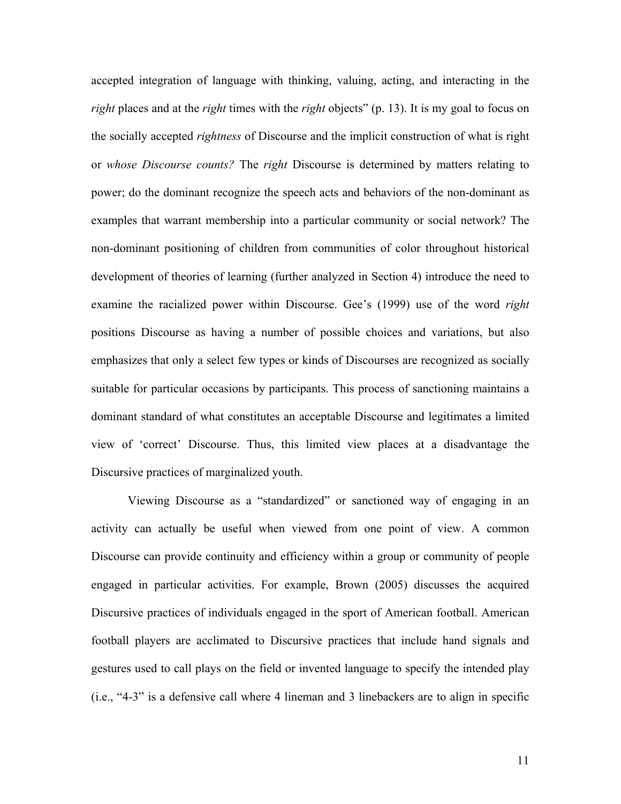accepted integration of language with thinking, valuing, acting, and interacting in the *right* places and at the *right* times with the *right* objects" (p. 13). It is my goal to focus on the socially accepted *rightness* of Discourse and the implicit construction of what is right or *whose Discourse counts?* The *right* Discourse is determined by matters relating to power; do the dominant recognize the speech acts and behaviors of the non-dominant as examples that warrant membership into a particular community or social network? The non-dominant positioning of children from communities of color throughout historical development of theories of learning (further analyzed in Section 4) introduce the need to examine the racialized power within Discourse. Gee's (1999) use of the word *right* positions Discourse as having a number of possible choices and variations, but also emphasizes that only a select few types or kinds of Discourses are recognized as socially suitable for particular occasions by participants. This process of sanctioning maintains a dominant standard of what constitutes an acceptable Discourse and legitimates a limited view of 'correct' Discourse. Thus, this limited view places at a disadvantage the Discursive practices of marginalized youth.

Viewing Discourse as a "standardized" or sanctioned way of engaging in an activity can actually be useful when viewed from one point of view. A common Discourse can provide continuity and efficiency within a group or community of people engaged in particular activities. For example, Brown (2005) discusses the acquired Discursive practices of individuals engaged in the sport of American football. American football players are acclimated to Discursive practices that include hand signals and gestures used to call plays on the field or invented language to specify the intended play (i.e., "4-3" is a defensive call where 4 lineman and 3 linebackers are to align in specific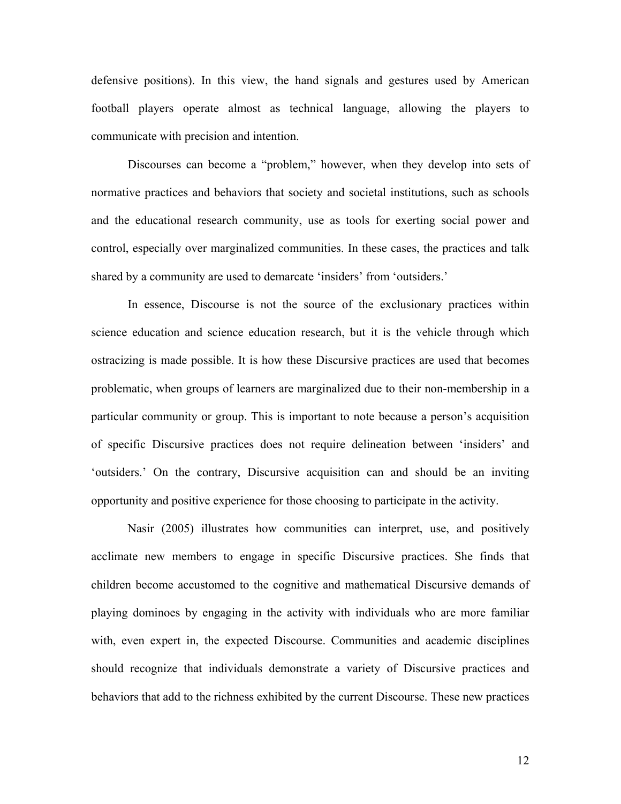defensive positions). In this view, the hand signals and gestures used by American football players operate almost as technical language, allowing the players to communicate with precision and intention.

Discourses can become a "problem," however, when they develop into sets of normative practices and behaviors that society and societal institutions, such as schools and the educational research community, use as tools for exerting social power and control, especially over marginalized communities. In these cases, the practices and talk shared by a community are used to demarcate 'insiders' from 'outsiders.'

 In essence, Discourse is not the source of the exclusionary practices within science education and science education research, but it is the vehicle through which ostracizing is made possible. It is how these Discursive practices are used that becomes problematic, when groups of learners are marginalized due to their non-membership in a particular community or group. This is important to note because a person's acquisition of specific Discursive practices does not require delineation between 'insiders' and 'outsiders.' On the contrary, Discursive acquisition can and should be an inviting opportunity and positive experience for those choosing to participate in the activity.

Nasir (2005) illustrates how communities can interpret, use, and positively acclimate new members to engage in specific Discursive practices. She finds that children become accustomed to the cognitive and mathematical Discursive demands of playing dominoes by engaging in the activity with individuals who are more familiar with, even expert in, the expected Discourse. Communities and academic disciplines should recognize that individuals demonstrate a variety of Discursive practices and behaviors that add to the richness exhibited by the current Discourse. These new practices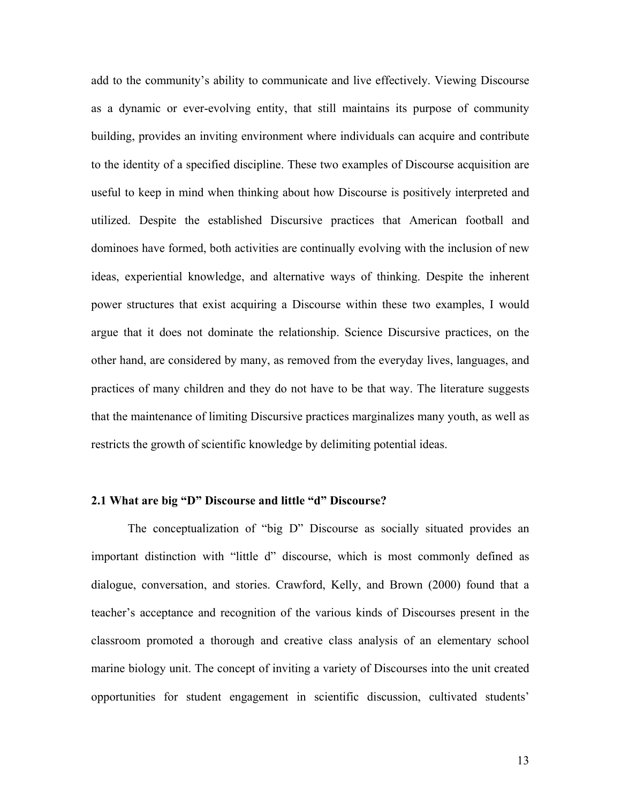add to the community's ability to communicate and live effectively. Viewing Discourse as a dynamic or ever-evolving entity, that still maintains its purpose of community building, provides an inviting environment where individuals can acquire and contribute to the identity of a specified discipline. These two examples of Discourse acquisition are useful to keep in mind when thinking about how Discourse is positively interpreted and utilized. Despite the established Discursive practices that American football and dominoes have formed, both activities are continually evolving with the inclusion of new ideas, experiential knowledge, and alternative ways of thinking. Despite the inherent power structures that exist acquiring a Discourse within these two examples, I would argue that it does not dominate the relationship. Science Discursive practices, on the other hand, are considered by many, as removed from the everyday lives, languages, and practices of many children and they do not have to be that way. The literature suggests that the maintenance of limiting Discursive practices marginalizes many youth, as well as restricts the growth of scientific knowledge by delimiting potential ideas.

## **2.1 What are big "D" Discourse and little "d" Discourse?**

 The conceptualization of "big D" Discourse as socially situated provides an important distinction with "little d" discourse, which is most commonly defined as dialogue, conversation, and stories. Crawford, Kelly, and Brown (2000) found that a teacher's acceptance and recognition of the various kinds of Discourses present in the classroom promoted a thorough and creative class analysis of an elementary school marine biology unit. The concept of inviting a variety of Discourses into the unit created opportunities for student engagement in scientific discussion, cultivated students'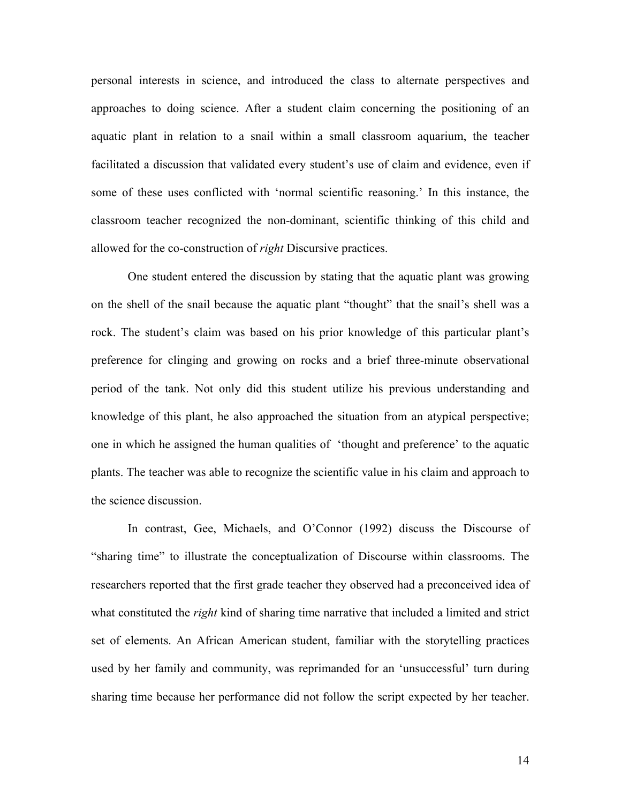personal interests in science, and introduced the class to alternate perspectives and approaches to doing science. After a student claim concerning the positioning of an aquatic plant in relation to a snail within a small classroom aquarium, the teacher facilitated a discussion that validated every student's use of claim and evidence, even if some of these uses conflicted with 'normal scientific reasoning.' In this instance, the classroom teacher recognized the non-dominant, scientific thinking of this child and allowed for the co-construction of *right* Discursive practices.

One student entered the discussion by stating that the aquatic plant was growing on the shell of the snail because the aquatic plant "thought" that the snail's shell was a rock. The student's claim was based on his prior knowledge of this particular plant's preference for clinging and growing on rocks and a brief three-minute observational period of the tank. Not only did this student utilize his previous understanding and knowledge of this plant, he also approached the situation from an atypical perspective; one in which he assigned the human qualities of 'thought and preference' to the aquatic plants. The teacher was able to recognize the scientific value in his claim and approach to the science discussion.

 In contrast, Gee, Michaels, and O'Connor (1992) discuss the Discourse of "sharing time" to illustrate the conceptualization of Discourse within classrooms. The researchers reported that the first grade teacher they observed had a preconceived idea of what constituted the *right* kind of sharing time narrative that included a limited and strict set of elements. An African American student, familiar with the storytelling practices used by her family and community, was reprimanded for an 'unsuccessful' turn during sharing time because her performance did not follow the script expected by her teacher.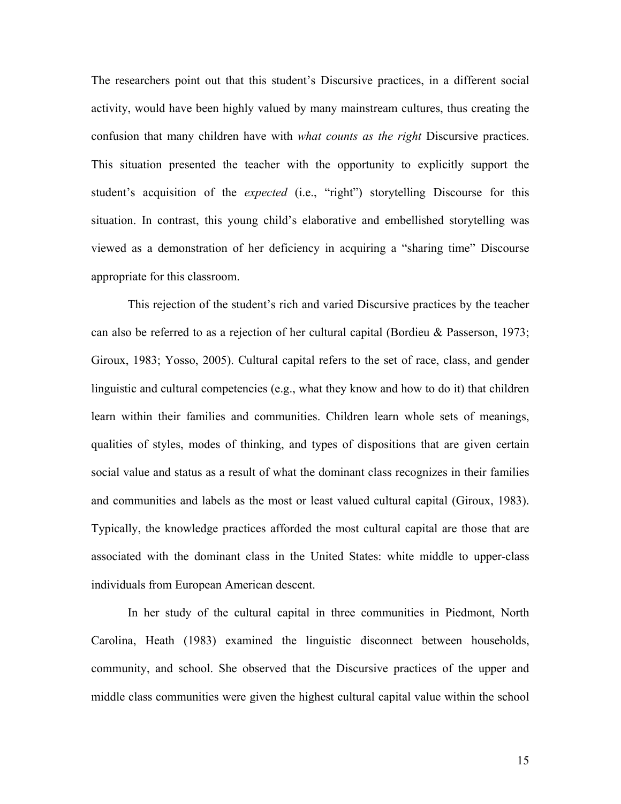The researchers point out that this student's Discursive practices, in a different social activity, would have been highly valued by many mainstream cultures, thus creating the confusion that many children have with *what counts as the right* Discursive practices. This situation presented the teacher with the opportunity to explicitly support the student's acquisition of the *expected* (i.e., "right") storytelling Discourse for this situation. In contrast, this young child's elaborative and embellished storytelling was viewed as a demonstration of her deficiency in acquiring a "sharing time" Discourse appropriate for this classroom.

 This rejection of the student's rich and varied Discursive practices by the teacher can also be referred to as a rejection of her cultural capital (Bordieu & Passerson, 1973; Giroux, 1983; Yosso, 2005). Cultural capital refers to the set of race, class, and gender linguistic and cultural competencies (e.g., what they know and how to do it) that children learn within their families and communities. Children learn whole sets of meanings, qualities of styles, modes of thinking, and types of dispositions that are given certain social value and status as a result of what the dominant class recognizes in their families and communities and labels as the most or least valued cultural capital (Giroux, 1983). Typically, the knowledge practices afforded the most cultural capital are those that are associated with the dominant class in the United States: white middle to upper-class individuals from European American descent.

 In her study of the cultural capital in three communities in Piedmont, North Carolina, Heath (1983) examined the linguistic disconnect between households, community, and school. She observed that the Discursive practices of the upper and middle class communities were given the highest cultural capital value within the school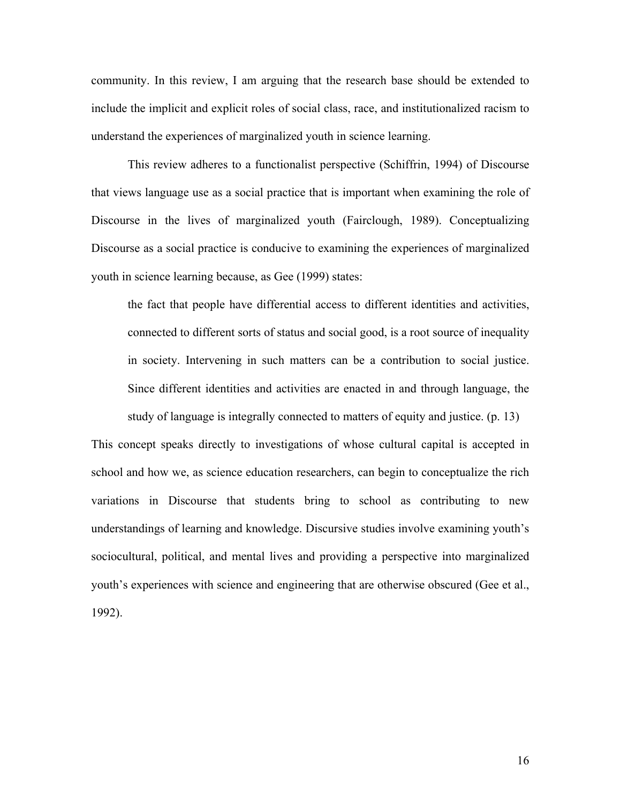community. In this review, I am arguing that the research base should be extended to include the implicit and explicit roles of social class, race, and institutionalized racism to understand the experiences of marginalized youth in science learning.

 This review adheres to a functionalist perspective (Schiffrin, 1994) of Discourse that views language use as a social practice that is important when examining the role of Discourse in the lives of marginalized youth (Fairclough, 1989). Conceptualizing Discourse as a social practice is conducive to examining the experiences of marginalized youth in science learning because, as Gee (1999) states:

the fact that people have differential access to different identities and activities, connected to different sorts of status and social good, is a root source of inequality in society. Intervening in such matters can be a contribution to social justice. Since different identities and activities are enacted in and through language, the study of language is integrally connected to matters of equity and justice. (p. 13)

This concept speaks directly to investigations of whose cultural capital is accepted in school and how we, as science education researchers, can begin to conceptualize the rich variations in Discourse that students bring to school as contributing to new understandings of learning and knowledge. Discursive studies involve examining youth's sociocultural, political, and mental lives and providing a perspective into marginalized youth's experiences with science and engineering that are otherwise obscured (Gee et al., 1992).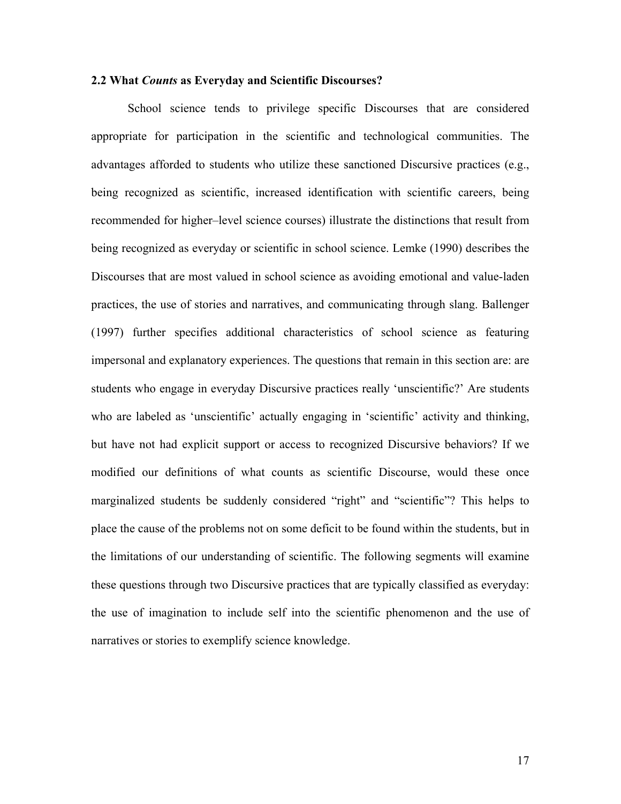### **2.2 What** *Counts* **as Everyday and Scientific Discourses?**

 School science tends to privilege specific Discourses that are considered appropriate for participation in the scientific and technological communities. The advantages afforded to students who utilize these sanctioned Discursive practices (e.g., being recognized as scientific, increased identification with scientific careers, being recommended for higher–level science courses) illustrate the distinctions that result from being recognized as everyday or scientific in school science. Lemke (1990) describes the Discourses that are most valued in school science as avoiding emotional and value-laden practices, the use of stories and narratives, and communicating through slang. Ballenger (1997) further specifies additional characteristics of school science as featuring impersonal and explanatory experiences. The questions that remain in this section are: are students who engage in everyday Discursive practices really 'unscientific?' Are students who are labeled as 'unscientific' actually engaging in 'scientific' activity and thinking, but have not had explicit support or access to recognized Discursive behaviors? If we modified our definitions of what counts as scientific Discourse, would these once marginalized students be suddenly considered "right" and "scientific"? This helps to place the cause of the problems not on some deficit to be found within the students, but in the limitations of our understanding of scientific. The following segments will examine these questions through two Discursive practices that are typically classified as everyday: the use of imagination to include self into the scientific phenomenon and the use of narratives or stories to exemplify science knowledge.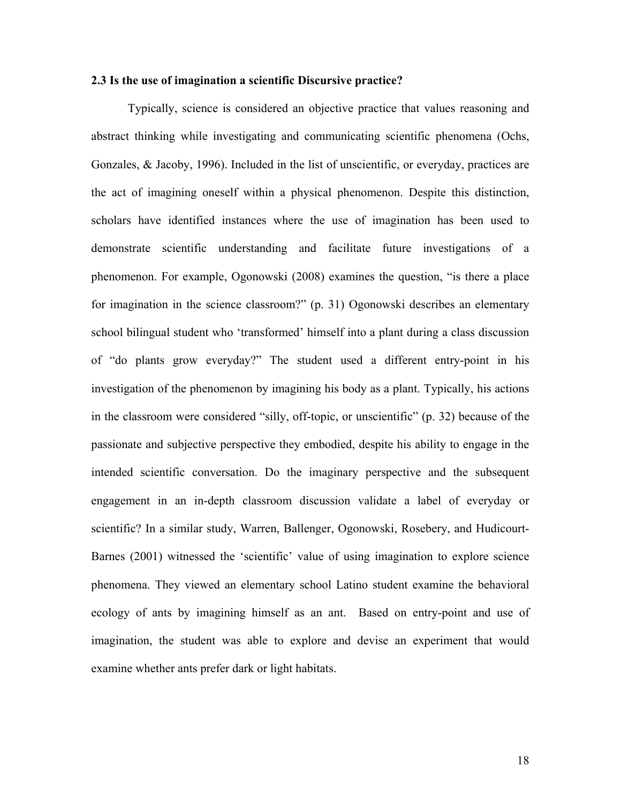### **2.3 Is the use of imagination a scientific Discursive practice?**

 Typically, science is considered an objective practice that values reasoning and abstract thinking while investigating and communicating scientific phenomena (Ochs, Gonzales, & Jacoby, 1996). Included in the list of unscientific, or everyday, practices are the act of imagining oneself within a physical phenomenon. Despite this distinction, scholars have identified instances where the use of imagination has been used to demonstrate scientific understanding and facilitate future investigations of a phenomenon. For example, Ogonowski (2008) examines the question, "is there a place for imagination in the science classroom?" (p. 31) Ogonowski describes an elementary school bilingual student who 'transformed' himself into a plant during a class discussion of "do plants grow everyday?" The student used a different entry-point in his investigation of the phenomenon by imagining his body as a plant. Typically, his actions in the classroom were considered "silly, off-topic, or unscientific" (p. 32) because of the passionate and subjective perspective they embodied, despite his ability to engage in the intended scientific conversation. Do the imaginary perspective and the subsequent engagement in an in-depth classroom discussion validate a label of everyday or scientific? In a similar study, Warren, Ballenger, Ogonowski, Rosebery, and Hudicourt-Barnes (2001) witnessed the 'scientific' value of using imagination to explore science phenomena. They viewed an elementary school Latino student examine the behavioral ecology of ants by imagining himself as an ant. Based on entry-point and use of imagination, the student was able to explore and devise an experiment that would examine whether ants prefer dark or light habitats.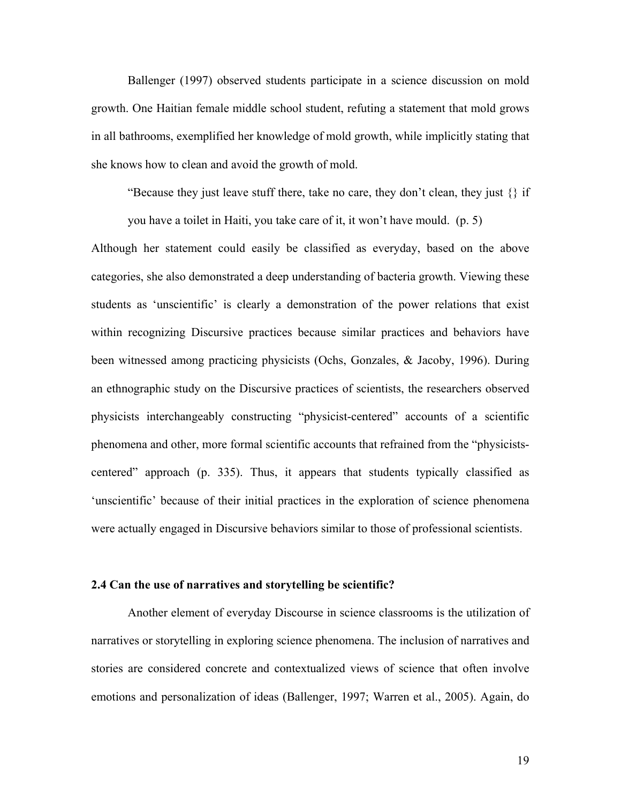Ballenger (1997) observed students participate in a science discussion on mold growth. One Haitian female middle school student, refuting a statement that mold grows in all bathrooms, exemplified her knowledge of mold growth, while implicitly stating that she knows how to clean and avoid the growth of mold.

"Because they just leave stuff there, take no care, they don't clean, they just  $\{\}\$  if

you have a toilet in Haiti, you take care of it, it won't have mould. (p. 5)

Although her statement could easily be classified as everyday, based on the above categories, she also demonstrated a deep understanding of bacteria growth. Viewing these students as 'unscientific' is clearly a demonstration of the power relations that exist within recognizing Discursive practices because similar practices and behaviors have been witnessed among practicing physicists (Ochs, Gonzales, & Jacoby, 1996). During an ethnographic study on the Discursive practices of scientists, the researchers observed physicists interchangeably constructing "physicist-centered" accounts of a scientific phenomena and other, more formal scientific accounts that refrained from the "physicistscentered" approach (p. 335). Thus, it appears that students typically classified as 'unscientific' because of their initial practices in the exploration of science phenomena were actually engaged in Discursive behaviors similar to those of professional scientists.

### **2.4 Can the use of narratives and storytelling be scientific?**

 Another element of everyday Discourse in science classrooms is the utilization of narratives or storytelling in exploring science phenomena. The inclusion of narratives and stories are considered concrete and contextualized views of science that often involve emotions and personalization of ideas (Ballenger, 1997; Warren et al., 2005). Again, do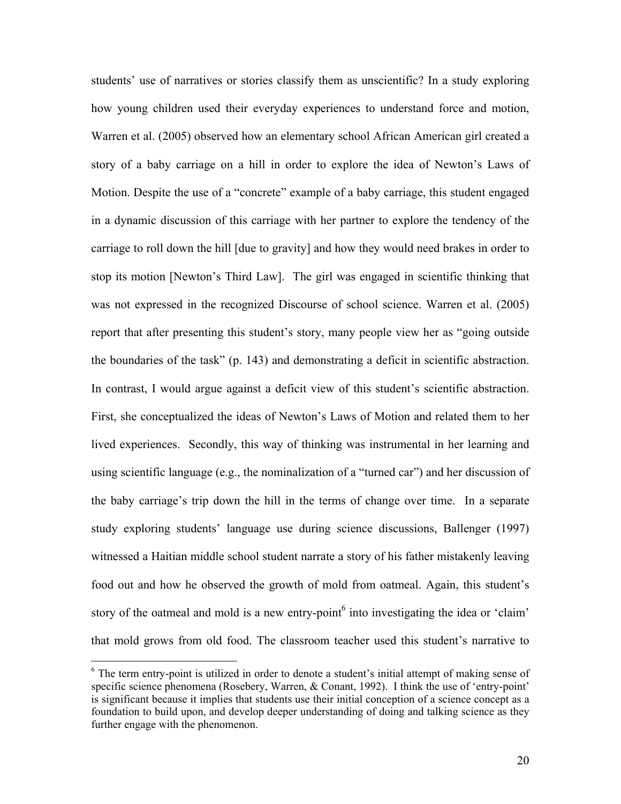students' use of narratives or stories classify them as unscientific? In a study exploring how young children used their everyday experiences to understand force and motion, Warren et al. (2005) observed how an elementary school African American girl created a story of a baby carriage on a hill in order to explore the idea of Newton's Laws of Motion. Despite the use of a "concrete" example of a baby carriage, this student engaged in a dynamic discussion of this carriage with her partner to explore the tendency of the carriage to roll down the hill [due to gravity] and how they would need brakes in order to stop its motion [Newton's Third Law]. The girl was engaged in scientific thinking that was not expressed in the recognized Discourse of school science. Warren et al. (2005) report that after presenting this student's story, many people view her as "going outside the boundaries of the task" (p. 143) and demonstrating a deficit in scientific abstraction. In contrast, I would argue against a deficit view of this student's scientific abstraction. First, she conceptualized the ideas of Newton's Laws of Motion and related them to her lived experiences. Secondly, this way of thinking was instrumental in her learning and using scientific language (e.g., the nominalization of a "turned car") and her discussion of the baby carriage's trip down the hill in the terms of change over time. In a separate study exploring students' language use during science discussions, Ballenger (1997) witnessed a Haitian middle school student narrate a story of his father mistakenly leaving food out and how he observed the growth of mold from oatmeal. Again, this student's story of the oatmeal and mold is a new entry-point $\delta$  into investigating the idea or 'claim' that mold grows from old food. The classroom teacher used this student's narrative to

<u>.</u>

<sup>&</sup>lt;sup>6</sup> The term entry-point is utilized in order to denote a student's initial attempt of making sense of specific science phenomena (Rosebery, Warren, & Conant, 1992). I think the use of 'entry-point' is significant because it implies that students use their initial conception of a science concept as a foundation to build upon, and develop deeper understanding of doing and talking science as they further engage with the phenomenon.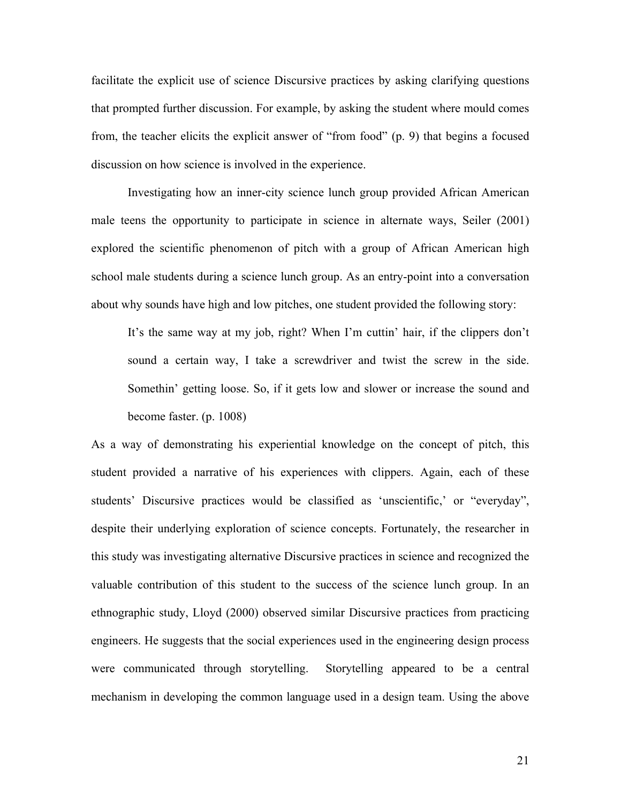facilitate the explicit use of science Discursive practices by asking clarifying questions that prompted further discussion. For example, by asking the student where mould comes from, the teacher elicits the explicit answer of "from food" (p. 9) that begins a focused discussion on how science is involved in the experience.

Investigating how an inner-city science lunch group provided African American male teens the opportunity to participate in science in alternate ways, Seiler (2001) explored the scientific phenomenon of pitch with a group of African American high school male students during a science lunch group. As an entry-point into a conversation about why sounds have high and low pitches, one student provided the following story:

It's the same way at my job, right? When I'm cuttin' hair, if the clippers don't sound a certain way, I take a screwdriver and twist the screw in the side. Somethin' getting loose. So, if it gets low and slower or increase the sound and become faster. (p. 1008)

As a way of demonstrating his experiential knowledge on the concept of pitch, this student provided a narrative of his experiences with clippers. Again, each of these students' Discursive practices would be classified as 'unscientific,' or "everyday", despite their underlying exploration of science concepts. Fortunately, the researcher in this study was investigating alternative Discursive practices in science and recognized the valuable contribution of this student to the success of the science lunch group. In an ethnographic study, Lloyd (2000) observed similar Discursive practices from practicing engineers. He suggests that the social experiences used in the engineering design process were communicated through storytelling. Storytelling appeared to be a central mechanism in developing the common language used in a design team. Using the above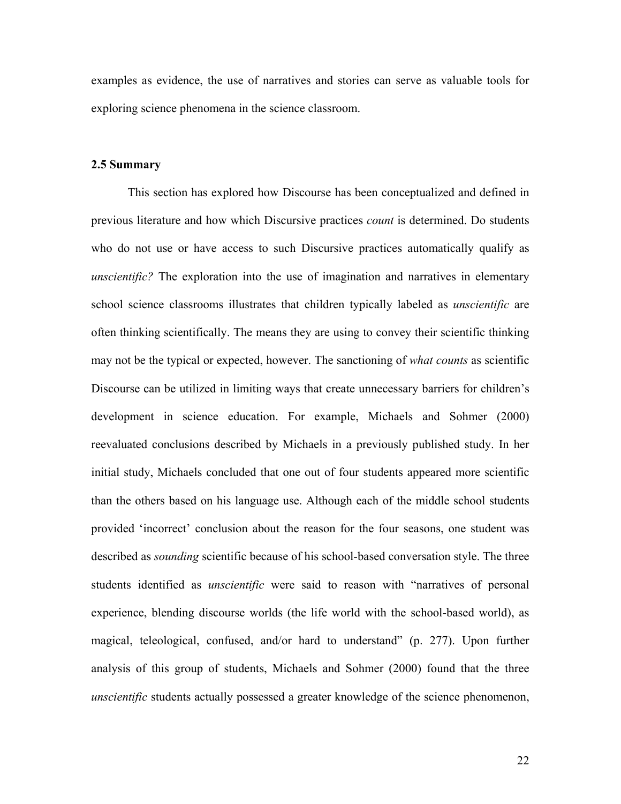examples as evidence, the use of narratives and stories can serve as valuable tools for exploring science phenomena in the science classroom.

### **2.5 Summary**

 This section has explored how Discourse has been conceptualized and defined in previous literature and how which Discursive practices *count* is determined. Do students who do not use or have access to such Discursive practices automatically qualify as *unscientific?* The exploration into the use of imagination and narratives in elementary school science classrooms illustrates that children typically labeled as *unscientific* are often thinking scientifically. The means they are using to convey their scientific thinking may not be the typical or expected, however. The sanctioning of *what counts* as scientific Discourse can be utilized in limiting ways that create unnecessary barriers for children's development in science education. For example, Michaels and Sohmer (2000) reevaluated conclusions described by Michaels in a previously published study. In her initial study, Michaels concluded that one out of four students appeared more scientific than the others based on his language use. Although each of the middle school students provided 'incorrect' conclusion about the reason for the four seasons, one student was described as *sounding* scientific because of his school-based conversation style. The three students identified as *unscientific* were said to reason with "narratives of personal experience, blending discourse worlds (the life world with the school-based world), as magical, teleological, confused, and/or hard to understand" (p. 277). Upon further analysis of this group of students, Michaels and Sohmer (2000) found that the three *unscientific* students actually possessed a greater knowledge of the science phenomenon,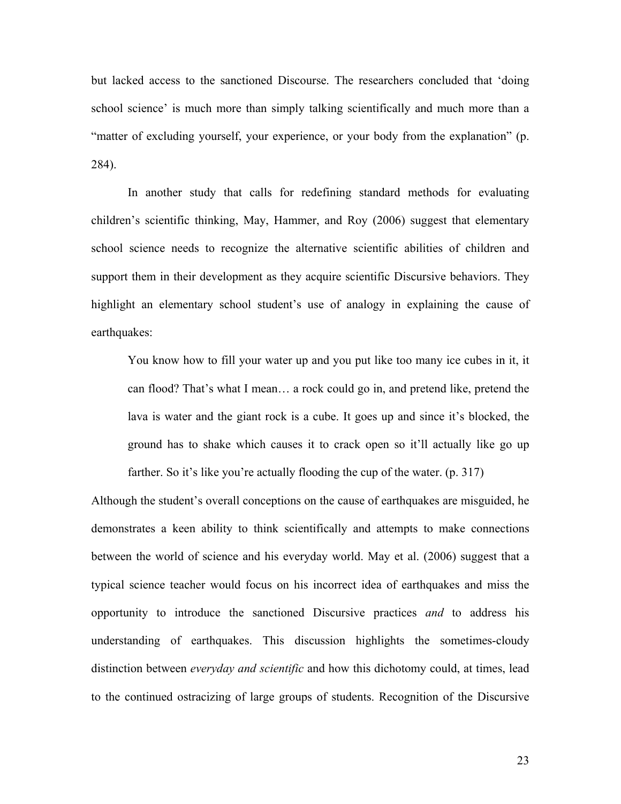but lacked access to the sanctioned Discourse. The researchers concluded that 'doing school science' is much more than simply talking scientifically and much more than a "matter of excluding yourself, your experience, or your body from the explanation" (p. 284).

 In another study that calls for redefining standard methods for evaluating children's scientific thinking, May, Hammer, and Roy (2006) suggest that elementary school science needs to recognize the alternative scientific abilities of children and support them in their development as they acquire scientific Discursive behaviors. They highlight an elementary school student's use of analogy in explaining the cause of earthquakes:

You know how to fill your water up and you put like too many ice cubes in it, it can flood? That's what I mean… a rock could go in, and pretend like, pretend the lava is water and the giant rock is a cube. It goes up and since it's blocked, the ground has to shake which causes it to crack open so it'll actually like go up farther. So it's like you're actually flooding the cup of the water. (p. 317)

Although the student's overall conceptions on the cause of earthquakes are misguided, he demonstrates a keen ability to think scientifically and attempts to make connections between the world of science and his everyday world. May et al. (2006) suggest that a typical science teacher would focus on his incorrect idea of earthquakes and miss the opportunity to introduce the sanctioned Discursive practices *and* to address his understanding of earthquakes. This discussion highlights the sometimes-cloudy distinction between *everyday and scientific* and how this dichotomy could, at times, lead to the continued ostracizing of large groups of students. Recognition of the Discursive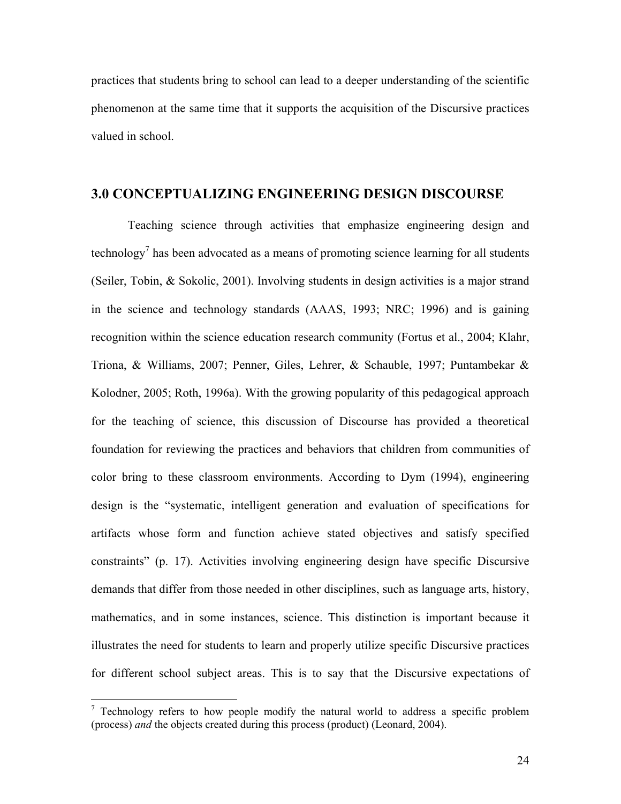practices that students bring to school can lead to a deeper understanding of the scientific phenomenon at the same time that it supports the acquisition of the Discursive practices valued in school.

## **3.0 CONCEPTUALIZING ENGINEERING DESIGN DISCOURSE**

 Teaching science through activities that emphasize engineering design and technology<sup>7</sup> has been advocated as a means of promoting science learning for all students (Seiler, Tobin, & Sokolic, 2001). Involving students in design activities is a major strand in the science and technology standards (AAAS, 1993; NRC; 1996) and is gaining recognition within the science education research community (Fortus et al., 2004; Klahr, Triona, & Williams, 2007; Penner, Giles, Lehrer, & Schauble, 1997; Puntambekar & Kolodner, 2005; Roth, 1996a). With the growing popularity of this pedagogical approach for the teaching of science, this discussion of Discourse has provided a theoretical foundation for reviewing the practices and behaviors that children from communities of color bring to these classroom environments. According to Dym (1994), engineering design is the "systematic, intelligent generation and evaluation of specifications for artifacts whose form and function achieve stated objectives and satisfy specified constraints" (p. 17). Activities involving engineering design have specific Discursive demands that differ from those needed in other disciplines, such as language arts, history, mathematics, and in some instances, science. This distinction is important because it illustrates the need for students to learn and properly utilize specific Discursive practices for different school subject areas. This is to say that the Discursive expectations of

 $\frac{7}{7}$  Technology refers to how people modify the natural world to address a specific problem (process) *and* the objects created during this process (product) (Leonard, 2004).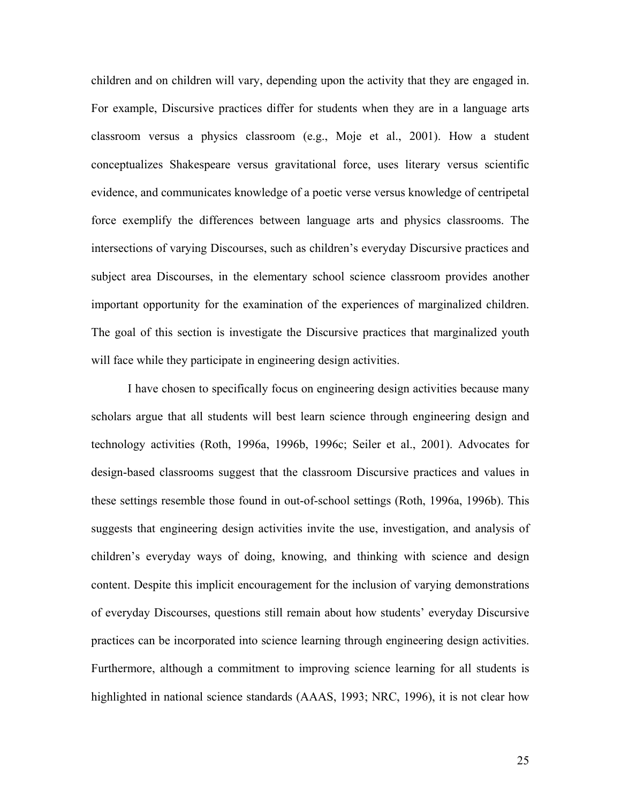children and on children will vary, depending upon the activity that they are engaged in. For example, Discursive practices differ for students when they are in a language arts classroom versus a physics classroom (e.g., Moje et al., 2001). How a student conceptualizes Shakespeare versus gravitational force, uses literary versus scientific evidence, and communicates knowledge of a poetic verse versus knowledge of centripetal force exemplify the differences between language arts and physics classrooms. The intersections of varying Discourses, such as children's everyday Discursive practices and subject area Discourses, in the elementary school science classroom provides another important opportunity for the examination of the experiences of marginalized children. The goal of this section is investigate the Discursive practices that marginalized youth will face while they participate in engineering design activities.

 I have chosen to specifically focus on engineering design activities because many scholars argue that all students will best learn science through engineering design and technology activities (Roth, 1996a, 1996b, 1996c; Seiler et al., 2001). Advocates for design-based classrooms suggest that the classroom Discursive practices and values in these settings resemble those found in out-of-school settings (Roth, 1996a, 1996b). This suggests that engineering design activities invite the use, investigation, and analysis of children's everyday ways of doing, knowing, and thinking with science and design content. Despite this implicit encouragement for the inclusion of varying demonstrations of everyday Discourses, questions still remain about how students' everyday Discursive practices can be incorporated into science learning through engineering design activities. Furthermore, although a commitment to improving science learning for all students is highlighted in national science standards (AAAS, 1993; NRC, 1996), it is not clear how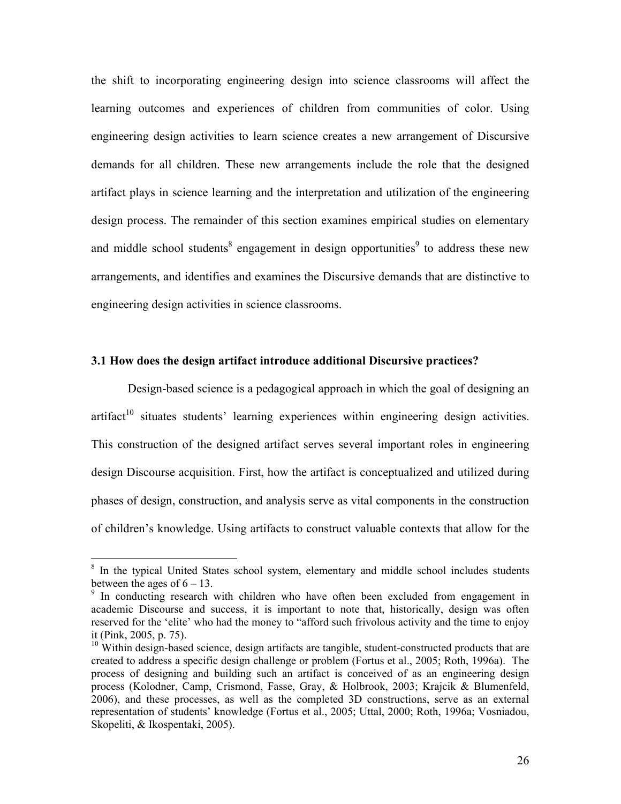the shift to incorporating engineering design into science classrooms will affect the learning outcomes and experiences of children from communities of color. Using engineering design activities to learn science creates a new arrangement of Discursive demands for all children. These new arrangements include the role that the designed artifact plays in science learning and the interpretation and utilization of the engineering design process. The remainder of this section examines empirical studies on elementary and middle school students<sup>8</sup> engagement in design opportunities<sup>9</sup> to address these new arrangements, and identifies and examines the Discursive demands that are distinctive to engineering design activities in science classrooms.

### **3.1 How does the design artifact introduce additional Discursive practices?**

 Design-based science is a pedagogical approach in which the goal of designing an  $artifact<sup>10</sup> situates students' learning experiences within engineering design activities.$ This construction of the designed artifact serves several important roles in engineering design Discourse acquisition. First, how the artifact is conceptualized and utilized during phases of design, construction, and analysis serve as vital components in the construction of children's knowledge. Using artifacts to construct valuable contexts that allow for the

 $\overline{a}$ 

<sup>&</sup>lt;sup>8</sup> In the typical United States school system, elementary and middle school includes students between the ages of  $6 - 13$ .

<sup>&</sup>lt;sup>9</sup> In conducting research with children who have often been excluded from engagement in academic Discourse and success, it is important to note that, historically, design was often reserved for the 'elite' who had the money to "afford such frivolous activity and the time to enjoy it (Pink, 2005, p. 75).

 $10$  Within design-based science, design artifacts are tangible, student-constructed products that are created to address a specific design challenge or problem (Fortus et al., 2005; Roth, 1996a). The process of designing and building such an artifact is conceived of as an engineering design process (Kolodner, Camp, Crismond, Fasse, Gray, & Holbrook, 2003; Krajcik & Blumenfeld, 2006), and these processes, as well as the completed 3D constructions, serve as an external representation of students' knowledge (Fortus et al., 2005; Uttal, 2000; Roth, 1996a; Vosniadou, Skopeliti, & Ikospentaki, 2005).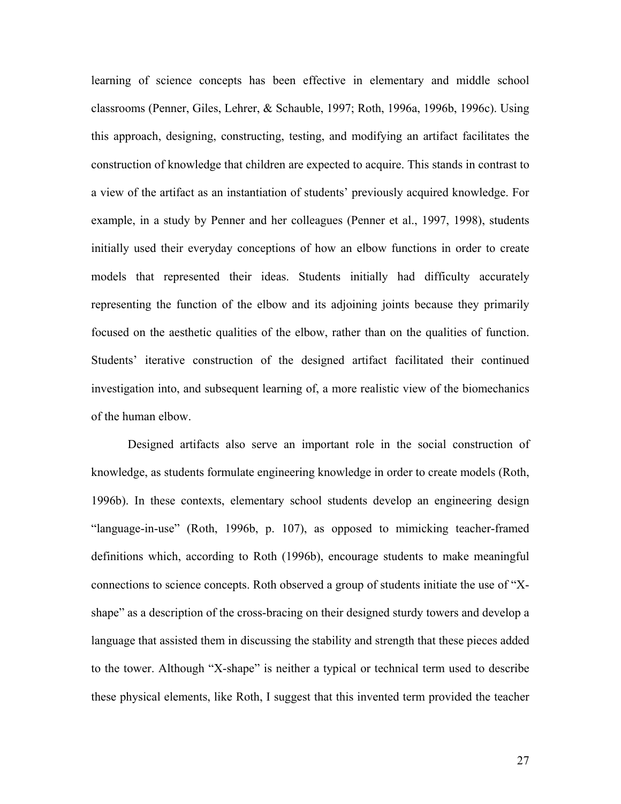learning of science concepts has been effective in elementary and middle school classrooms (Penner, Giles, Lehrer, & Schauble, 1997; Roth, 1996a, 1996b, 1996c). Using this approach, designing, constructing, testing, and modifying an artifact facilitates the construction of knowledge that children are expected to acquire. This stands in contrast to a view of the artifact as an instantiation of students' previously acquired knowledge. For example, in a study by Penner and her colleagues (Penner et al., 1997, 1998), students initially used their everyday conceptions of how an elbow functions in order to create models that represented their ideas. Students initially had difficulty accurately representing the function of the elbow and its adjoining joints because they primarily focused on the aesthetic qualities of the elbow, rather than on the qualities of function. Students' iterative construction of the designed artifact facilitated their continued investigation into, and subsequent learning of, a more realistic view of the biomechanics of the human elbow.

 Designed artifacts also serve an important role in the social construction of knowledge, as students formulate engineering knowledge in order to create models (Roth, 1996b). In these contexts, elementary school students develop an engineering design "language-in-use" (Roth, 1996b, p. 107), as opposed to mimicking teacher-framed definitions which, according to Roth (1996b), encourage students to make meaningful connections to science concepts. Roth observed a group of students initiate the use of "Xshape" as a description of the cross-bracing on their designed sturdy towers and develop a language that assisted them in discussing the stability and strength that these pieces added to the tower. Although "X-shape" is neither a typical or technical term used to describe these physical elements, like Roth, I suggest that this invented term provided the teacher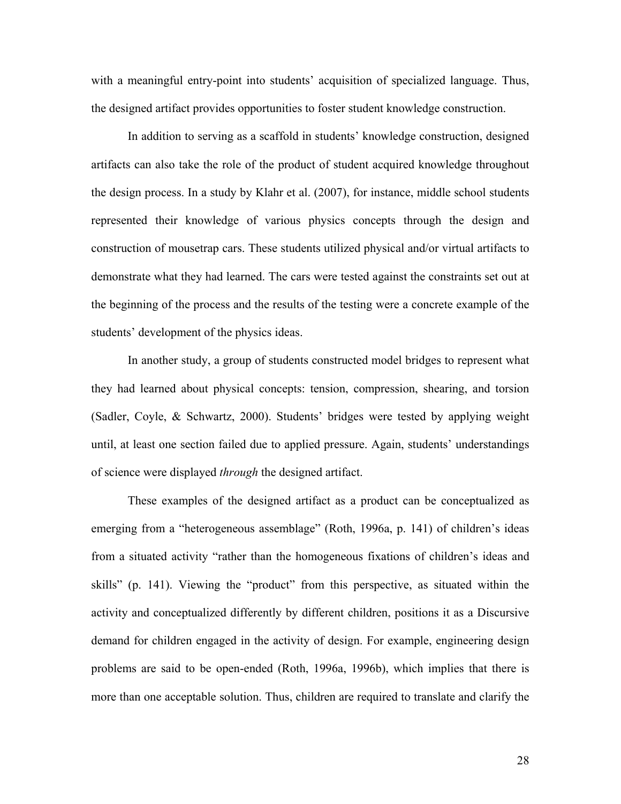with a meaningful entry-point into students' acquisition of specialized language. Thus, the designed artifact provides opportunities to foster student knowledge construction.

 In addition to serving as a scaffold in students' knowledge construction, designed artifacts can also take the role of the product of student acquired knowledge throughout the design process. In a study by Klahr et al. (2007), for instance, middle school students represented their knowledge of various physics concepts through the design and construction of mousetrap cars. These students utilized physical and/or virtual artifacts to demonstrate what they had learned. The cars were tested against the constraints set out at the beginning of the process and the results of the testing were a concrete example of the students' development of the physics ideas.

 In another study, a group of students constructed model bridges to represent what they had learned about physical concepts: tension, compression, shearing, and torsion (Sadler, Coyle, & Schwartz, 2000). Students' bridges were tested by applying weight until, at least one section failed due to applied pressure. Again, students' understandings of science were displayed *through* the designed artifact.

 These examples of the designed artifact as a product can be conceptualized as emerging from a "heterogeneous assemblage" (Roth, 1996a, p. 141) of children's ideas from a situated activity "rather than the homogeneous fixations of children's ideas and skills" (p. 141). Viewing the "product" from this perspective, as situated within the activity and conceptualized differently by different children, positions it as a Discursive demand for children engaged in the activity of design. For example, engineering design problems are said to be open-ended (Roth, 1996a, 1996b), which implies that there is more than one acceptable solution. Thus, children are required to translate and clarify the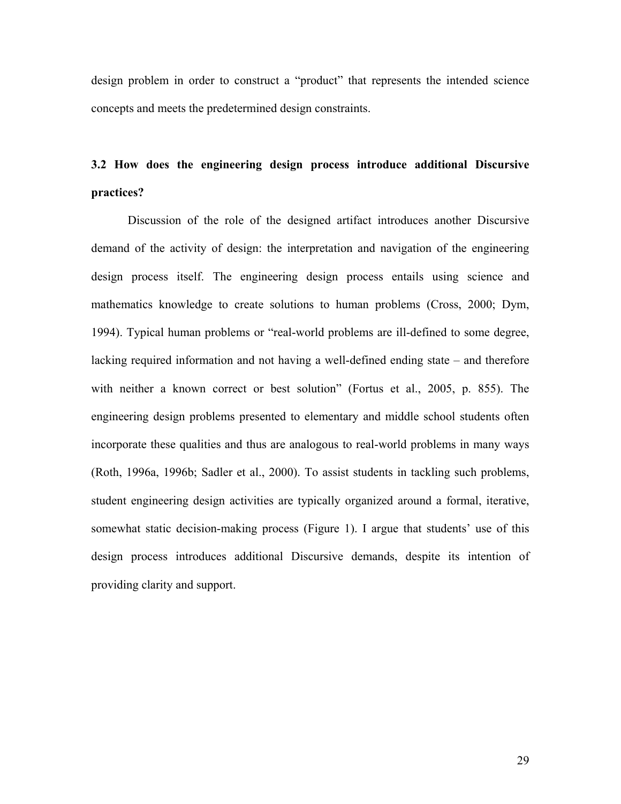design problem in order to construct a "product" that represents the intended science concepts and meets the predetermined design constraints.

# **3.2 How does the engineering design process introduce additional Discursive practices?**

 Discussion of the role of the designed artifact introduces another Discursive demand of the activity of design: the interpretation and navigation of the engineering design process itself. The engineering design process entails using science and mathematics knowledge to create solutions to human problems (Cross, 2000; Dym, 1994). Typical human problems or "real-world problems are ill-defined to some degree, lacking required information and not having a well-defined ending state – and therefore with neither a known correct or best solution" (Fortus et al., 2005, p. 855). The engineering design problems presented to elementary and middle school students often incorporate these qualities and thus are analogous to real-world problems in many ways (Roth, 1996a, 1996b; Sadler et al., 2000). To assist students in tackling such problems, student engineering design activities are typically organized around a formal, iterative, somewhat static decision-making process (Figure 1). I argue that students' use of this design process introduces additional Discursive demands, despite its intention of providing clarity and support.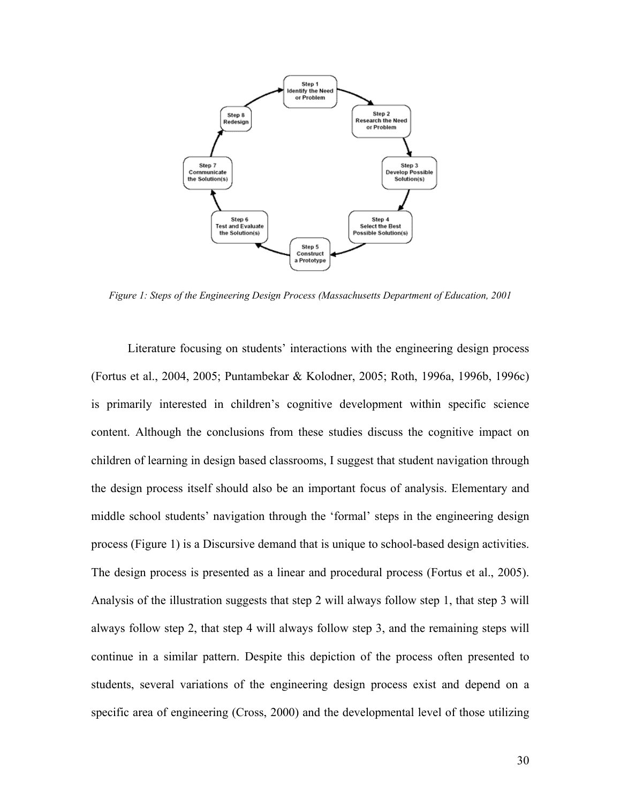

*Figure 1: Steps of the Engineering Design Process (Massachusetts Department of Education, 2001* 

Literature focusing on students' interactions with the engineering design process (Fortus et al., 2004, 2005; Puntambekar & Kolodner, 2005; Roth, 1996a, 1996b, 1996c) is primarily interested in children's cognitive development within specific science content. Although the conclusions from these studies discuss the cognitive impact on children of learning in design based classrooms, I suggest that student navigation through the design process itself should also be an important focus of analysis. Elementary and middle school students' navigation through the 'formal' steps in the engineering design process (Figure 1) is a Discursive demand that is unique to school-based design activities. The design process is presented as a linear and procedural process (Fortus et al., 2005). Analysis of the illustration suggests that step 2 will always follow step 1, that step 3 will always follow step 2, that step 4 will always follow step 3, and the remaining steps will continue in a similar pattern. Despite this depiction of the process often presented to students, several variations of the engineering design process exist and depend on a specific area of engineering (Cross, 2000) and the developmental level of those utilizing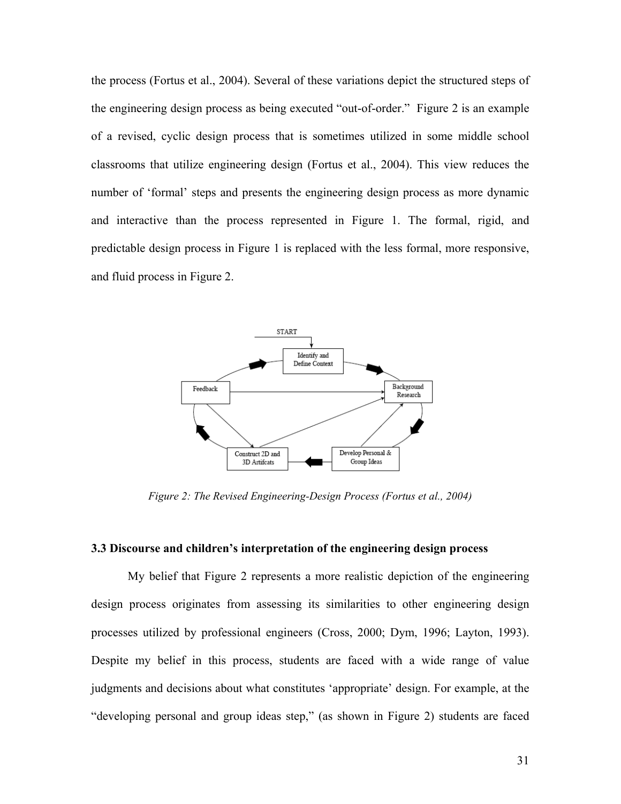the process (Fortus et al., 2004). Several of these variations depict the structured steps of the engineering design process as being executed "out-of-order." Figure 2 is an example of a revised, cyclic design process that is sometimes utilized in some middle school classrooms that utilize engineering design (Fortus et al., 2004). This view reduces the number of 'formal' steps and presents the engineering design process as more dynamic and interactive than the process represented in Figure 1. The formal, rigid, and predictable design process in Figure 1 is replaced with the less formal, more responsive, and fluid process in Figure 2.



*Figure 2: The Revised Engineering-Design Process (Fortus et al., 2004)* 

### **3.3 Discourse and children's interpretation of the engineering design process**

 My belief that Figure 2 represents a more realistic depiction of the engineering design process originates from assessing its similarities to other engineering design processes utilized by professional engineers (Cross, 2000; Dym, 1996; Layton, 1993). Despite my belief in this process, students are faced with a wide range of value judgments and decisions about what constitutes 'appropriate' design. For example, at the "developing personal and group ideas step," (as shown in Figure 2) students are faced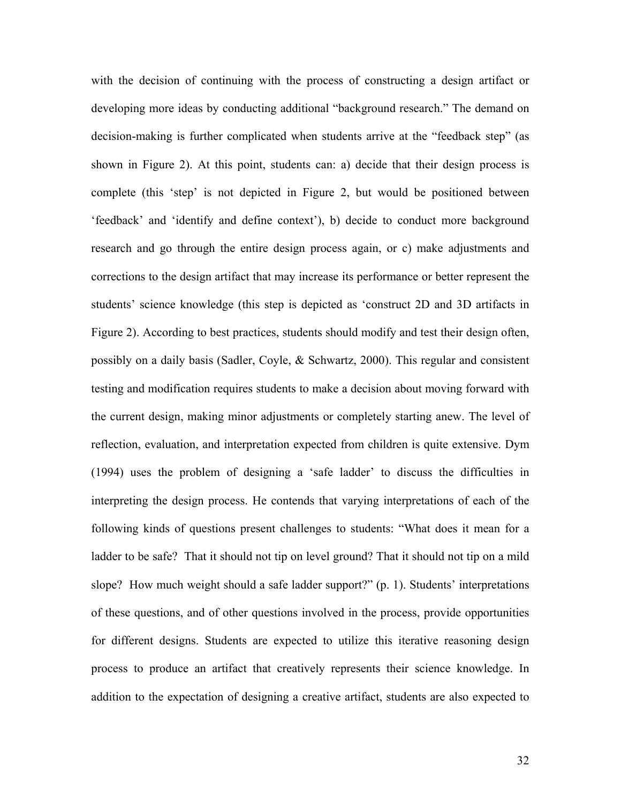with the decision of continuing with the process of constructing a design artifact or developing more ideas by conducting additional "background research." The demand on decision-making is further complicated when students arrive at the "feedback step" (as shown in Figure 2). At this point, students can: a) decide that their design process is complete (this 'step' is not depicted in Figure 2, but would be positioned between 'feedback' and 'identify and define context'), b) decide to conduct more background research and go through the entire design process again, or c) make adjustments and corrections to the design artifact that may increase its performance or better represent the students' science knowledge (this step is depicted as 'construct 2D and 3D artifacts in Figure 2). According to best practices, students should modify and test their design often, possibly on a daily basis (Sadler, Coyle, & Schwartz, 2000). This regular and consistent testing and modification requires students to make a decision about moving forward with the current design, making minor adjustments or completely starting anew. The level of reflection, evaluation, and interpretation expected from children is quite extensive. Dym (1994) uses the problem of designing a 'safe ladder' to discuss the difficulties in interpreting the design process. He contends that varying interpretations of each of the following kinds of questions present challenges to students: "What does it mean for a ladder to be safe? That it should not tip on level ground? That it should not tip on a mild slope? How much weight should a safe ladder support?" (p. 1). Students' interpretations of these questions, and of other questions involved in the process, provide opportunities for different designs. Students are expected to utilize this iterative reasoning design process to produce an artifact that creatively represents their science knowledge. In addition to the expectation of designing a creative artifact, students are also expected to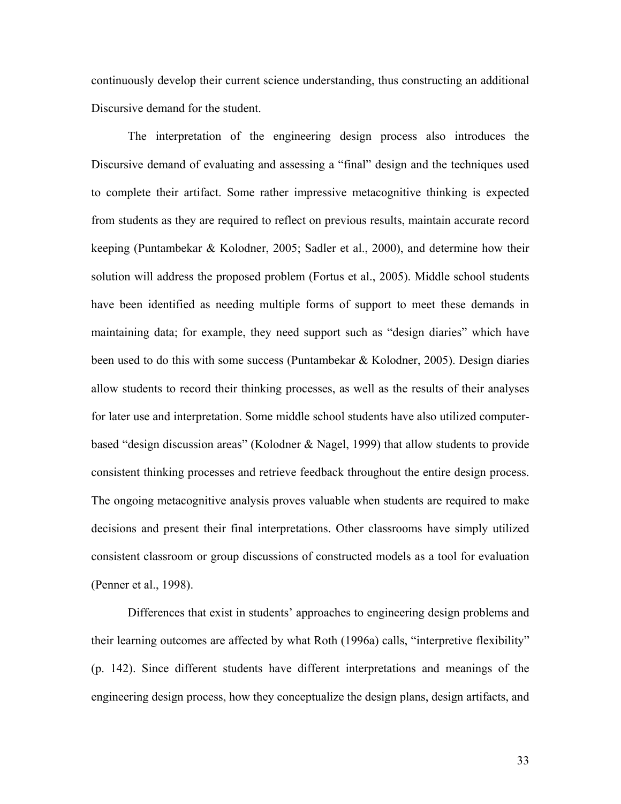continuously develop their current science understanding, thus constructing an additional Discursive demand for the student.

 The interpretation of the engineering design process also introduces the Discursive demand of evaluating and assessing a "final" design and the techniques used to complete their artifact. Some rather impressive metacognitive thinking is expected from students as they are required to reflect on previous results, maintain accurate record keeping (Puntambekar & Kolodner, 2005; Sadler et al., 2000), and determine how their solution will address the proposed problem (Fortus et al., 2005). Middle school students have been identified as needing multiple forms of support to meet these demands in maintaining data; for example, they need support such as "design diaries" which have been used to do this with some success (Puntambekar & Kolodner, 2005). Design diaries allow students to record their thinking processes, as well as the results of their analyses for later use and interpretation. Some middle school students have also utilized computerbased "design discussion areas" (Kolodner & Nagel, 1999) that allow students to provide consistent thinking processes and retrieve feedback throughout the entire design process. The ongoing metacognitive analysis proves valuable when students are required to make decisions and present their final interpretations. Other classrooms have simply utilized consistent classroom or group discussions of constructed models as a tool for evaluation (Penner et al., 1998).

 Differences that exist in students' approaches to engineering design problems and their learning outcomes are affected by what Roth (1996a) calls, "interpretive flexibility" (p. 142). Since different students have different interpretations and meanings of the engineering design process, how they conceptualize the design plans, design artifacts, and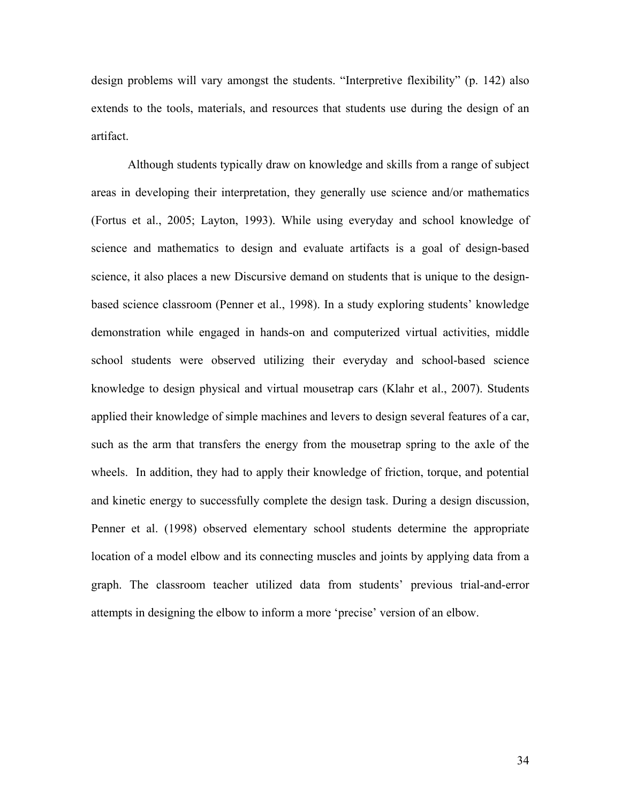design problems will vary amongst the students. "Interpretive flexibility" (p. 142) also extends to the tools, materials, and resources that students use during the design of an artifact.

 Although students typically draw on knowledge and skills from a range of subject areas in developing their interpretation, they generally use science and/or mathematics (Fortus et al., 2005; Layton, 1993). While using everyday and school knowledge of science and mathematics to design and evaluate artifacts is a goal of design-based science, it also places a new Discursive demand on students that is unique to the designbased science classroom (Penner et al., 1998). In a study exploring students' knowledge demonstration while engaged in hands-on and computerized virtual activities, middle school students were observed utilizing their everyday and school-based science knowledge to design physical and virtual mousetrap cars (Klahr et al., 2007). Students applied their knowledge of simple machines and levers to design several features of a car, such as the arm that transfers the energy from the mousetrap spring to the axle of the wheels. In addition, they had to apply their knowledge of friction, torque, and potential and kinetic energy to successfully complete the design task. During a design discussion, Penner et al. (1998) observed elementary school students determine the appropriate location of a model elbow and its connecting muscles and joints by applying data from a graph. The classroom teacher utilized data from students' previous trial-and-error attempts in designing the elbow to inform a more 'precise' version of an elbow.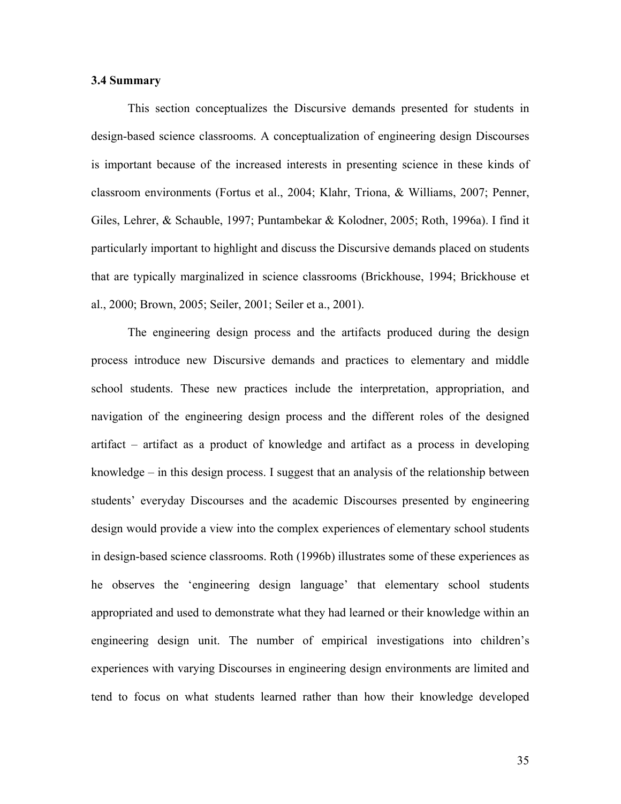### **3.4 Summary**

 This section conceptualizes the Discursive demands presented for students in design-based science classrooms. A conceptualization of engineering design Discourses is important because of the increased interests in presenting science in these kinds of classroom environments (Fortus et al., 2004; Klahr, Triona, & Williams, 2007; Penner, Giles, Lehrer, & Schauble, 1997; Puntambekar & Kolodner, 2005; Roth, 1996a). I find it particularly important to highlight and discuss the Discursive demands placed on students that are typically marginalized in science classrooms (Brickhouse, 1994; Brickhouse et al., 2000; Brown, 2005; Seiler, 2001; Seiler et a., 2001).

 The engineering design process and the artifacts produced during the design process introduce new Discursive demands and practices to elementary and middle school students. These new practices include the interpretation, appropriation, and navigation of the engineering design process and the different roles of the designed artifact – artifact as a product of knowledge and artifact as a process in developing knowledge – in this design process. I suggest that an analysis of the relationship between students' everyday Discourses and the academic Discourses presented by engineering design would provide a view into the complex experiences of elementary school students in design-based science classrooms. Roth (1996b) illustrates some of these experiences as he observes the 'engineering design language' that elementary school students appropriated and used to demonstrate what they had learned or their knowledge within an engineering design unit. The number of empirical investigations into children's experiences with varying Discourses in engineering design environments are limited and tend to focus on what students learned rather than how their knowledge developed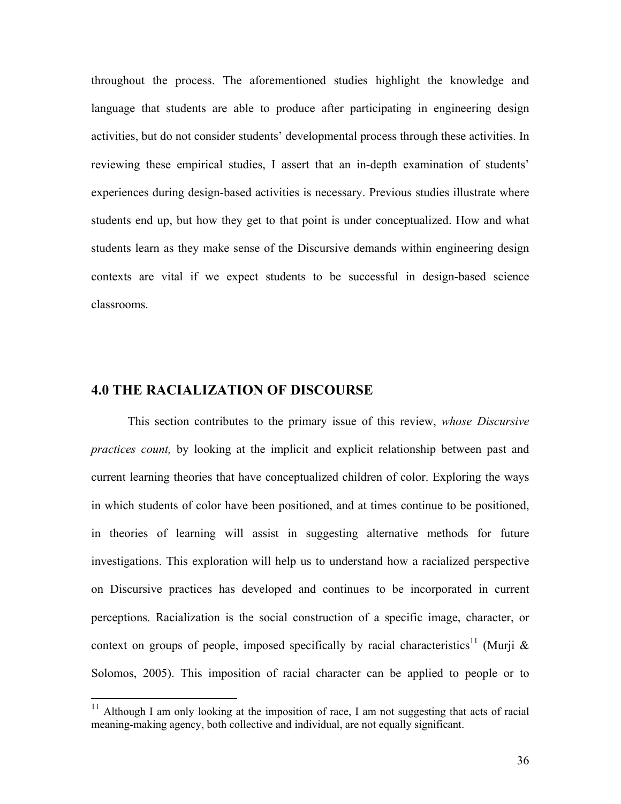throughout the process. The aforementioned studies highlight the knowledge and language that students are able to produce after participating in engineering design activities, but do not consider students' developmental process through these activities. In reviewing these empirical studies, I assert that an in-depth examination of students' experiences during design-based activities is necessary. Previous studies illustrate where students end up, but how they get to that point is under conceptualized. How and what students learn as they make sense of the Discursive demands within engineering design contexts are vital if we expect students to be successful in design-based science classrooms.

# **4.0 THE RACIALIZATION OF DISCOURSE**

 $\overline{a}$ 

 This section contributes to the primary issue of this review, *whose Discursive practices count,* by looking at the implicit and explicit relationship between past and current learning theories that have conceptualized children of color. Exploring the ways in which students of color have been positioned, and at times continue to be positioned, in theories of learning will assist in suggesting alternative methods for future investigations. This exploration will help us to understand how a racialized perspective on Discursive practices has developed and continues to be incorporated in current perceptions. Racialization is the social construction of a specific image, character, or context on groups of people, imposed specifically by racial characteristics<sup>11</sup> (Murji  $\&$ Solomos, 2005). This imposition of racial character can be applied to people or to

<sup>&</sup>lt;sup>11</sup> Although I am only looking at the imposition of race, I am not suggesting that acts of racial meaning-making agency, both collective and individual, are not equally significant.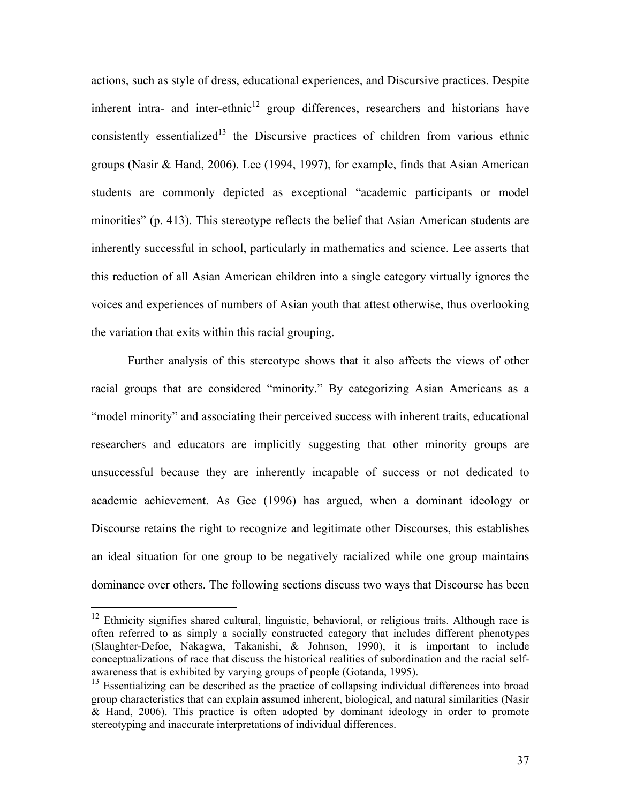actions, such as style of dress, educational experiences, and Discursive practices. Despite inherent intra- and inter-ethnic $12$  group differences, researchers and historians have consistently essentialized<sup>13</sup> the Discursive practices of children from various ethnic groups (Nasir & Hand, 2006). Lee (1994, 1997), for example, finds that Asian American students are commonly depicted as exceptional "academic participants or model minorities" (p. 413). This stereotype reflects the belief that Asian American students are inherently successful in school, particularly in mathematics and science. Lee asserts that this reduction of all Asian American children into a single category virtually ignores the voices and experiences of numbers of Asian youth that attest otherwise, thus overlooking the variation that exits within this racial grouping.

 Further analysis of this stereotype shows that it also affects the views of other racial groups that are considered "minority." By categorizing Asian Americans as a "model minority" and associating their perceived success with inherent traits, educational researchers and educators are implicitly suggesting that other minority groups are unsuccessful because they are inherently incapable of success or not dedicated to academic achievement. As Gee (1996) has argued, when a dominant ideology or Discourse retains the right to recognize and legitimate other Discourses, this establishes an ideal situation for one group to be negatively racialized while one group maintains dominance over others. The following sections discuss two ways that Discourse has been

 $\overline{a}$ 

 $12$  Ethnicity signifies shared cultural, linguistic, behavioral, or religious traits. Although race is often referred to as simply a socially constructed category that includes different phenotypes (Slaughter-Defoe, Nakagwa, Takanishi, & Johnson, 1990), it is important to include conceptualizations of race that discuss the historical realities of subordination and the racial selfawareness that is exhibited by varying groups of people (Gotanda, 1995).

 $13$  Essentializing can be described as the practice of collapsing individual differences into broad group characteristics that can explain assumed inherent, biological, and natural similarities (Nasir & Hand, 2006). This practice is often adopted by dominant ideology in order to promote stereotyping and inaccurate interpretations of individual differences.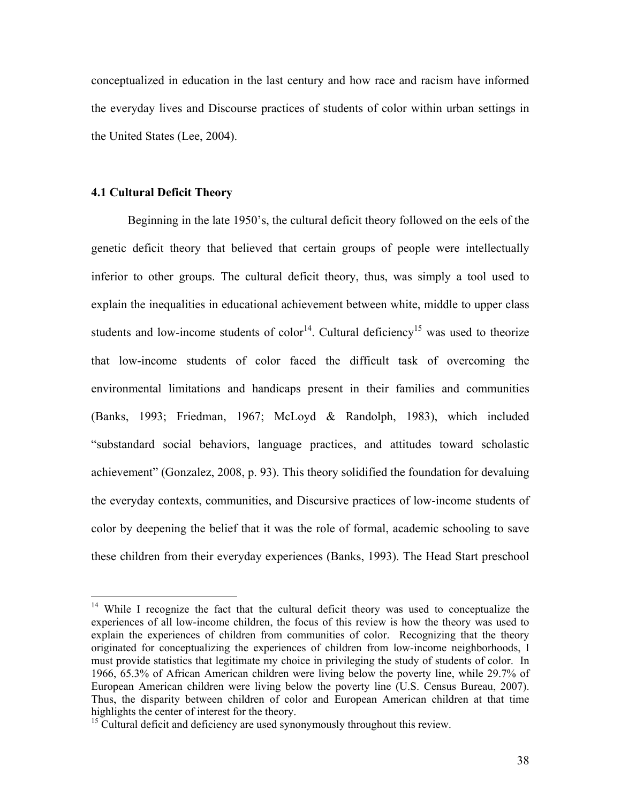conceptualized in education in the last century and how race and racism have informed the everyday lives and Discourse practices of students of color within urban settings in the United States (Lee, 2004).

### **4.1 Cultural Deficit Theory**

 $\overline{a}$ 

 Beginning in the late 1950's, the cultural deficit theory followed on the eels of the genetic deficit theory that believed that certain groups of people were intellectually inferior to other groups. The cultural deficit theory, thus, was simply a tool used to explain the inequalities in educational achievement between white, middle to upper class students and low-income students of color<sup>14</sup>. Cultural deficiency<sup>15</sup> was used to theorize that low-income students of color faced the difficult task of overcoming the environmental limitations and handicaps present in their families and communities (Banks, 1993; Friedman, 1967; McLoyd & Randolph, 1983), which included "substandard social behaviors, language practices, and attitudes toward scholastic achievement" (Gonzalez, 2008, p. 93). This theory solidified the foundation for devaluing the everyday contexts, communities, and Discursive practices of low-income students of color by deepening the belief that it was the role of formal, academic schooling to save these children from their everyday experiences (Banks, 1993). The Head Start preschool

<sup>&</sup>lt;sup>14</sup> While I recognize the fact that the cultural deficit theory was used to conceptualize the experiences of all low-income children, the focus of this review is how the theory was used to explain the experiences of children from communities of color. Recognizing that the theory originated for conceptualizing the experiences of children from low-income neighborhoods, I must provide statistics that legitimate my choice in privileging the study of students of color. In 1966, 65.3% of African American children were living below the poverty line, while 29.7% of European American children were living below the poverty line (U.S. Census Bureau, 2007). Thus, the disparity between children of color and European American children at that time highlights the center of interest for the theory.

<sup>&</sup>lt;sup>15</sup> Cultural deficit and deficiency are used synonymously throughout this review.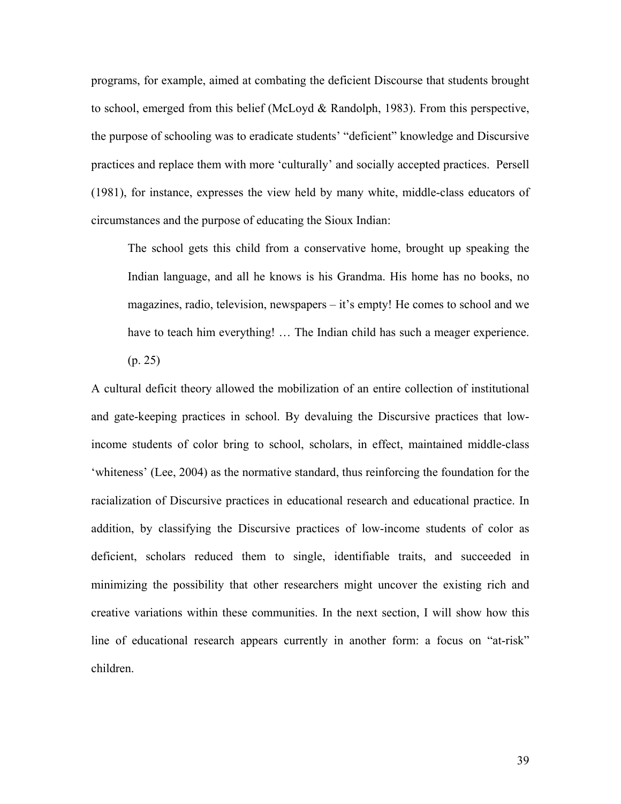programs, for example, aimed at combating the deficient Discourse that students brought to school, emerged from this belief (McLoyd & Randolph, 1983). From this perspective, the purpose of schooling was to eradicate students' "deficient" knowledge and Discursive practices and replace them with more 'culturally' and socially accepted practices. Persell (1981), for instance, expresses the view held by many white, middle-class educators of circumstances and the purpose of educating the Sioux Indian:

The school gets this child from a conservative home, brought up speaking the Indian language, and all he knows is his Grandma. His home has no books, no magazines, radio, television, newspapers – it's empty! He comes to school and we have to teach him everything! ... The Indian child has such a meager experience. (p. 25)

A cultural deficit theory allowed the mobilization of an entire collection of institutional and gate-keeping practices in school. By devaluing the Discursive practices that lowincome students of color bring to school, scholars, in effect, maintained middle-class 'whiteness' (Lee, 2004) as the normative standard, thus reinforcing the foundation for the racialization of Discursive practices in educational research and educational practice. In addition, by classifying the Discursive practices of low-income students of color as deficient, scholars reduced them to single, identifiable traits, and succeeded in minimizing the possibility that other researchers might uncover the existing rich and creative variations within these communities. In the next section, I will show how this line of educational research appears currently in another form: a focus on "at-risk" children.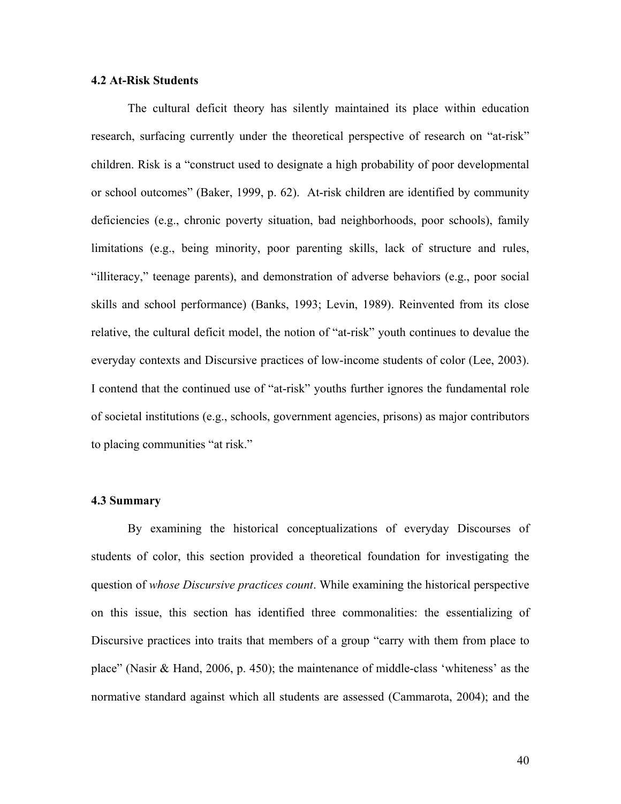### **4.2 At-Risk Students**

 The cultural deficit theory has silently maintained its place within education research, surfacing currently under the theoretical perspective of research on "at-risk" children. Risk is a "construct used to designate a high probability of poor developmental or school outcomes" (Baker, 1999, p. 62). At-risk children are identified by community deficiencies (e.g., chronic poverty situation, bad neighborhoods, poor schools), family limitations (e.g., being minority, poor parenting skills, lack of structure and rules, "illiteracy," teenage parents), and demonstration of adverse behaviors (e.g., poor social skills and school performance) (Banks, 1993; Levin, 1989). Reinvented from its close relative, the cultural deficit model, the notion of "at-risk" youth continues to devalue the everyday contexts and Discursive practices of low-income students of color (Lee, 2003). I contend that the continued use of "at-risk" youths further ignores the fundamental role of societal institutions (e.g., schools, government agencies, prisons) as major contributors to placing communities "at risk."

### **4.3 Summary**

 By examining the historical conceptualizations of everyday Discourses of students of color, this section provided a theoretical foundation for investigating the question of *whose Discursive practices count*. While examining the historical perspective on this issue, this section has identified three commonalities: the essentializing of Discursive practices into traits that members of a group "carry with them from place to place" (Nasir & Hand, 2006, p. 450); the maintenance of middle-class 'whiteness' as the normative standard against which all students are assessed (Cammarota, 2004); and the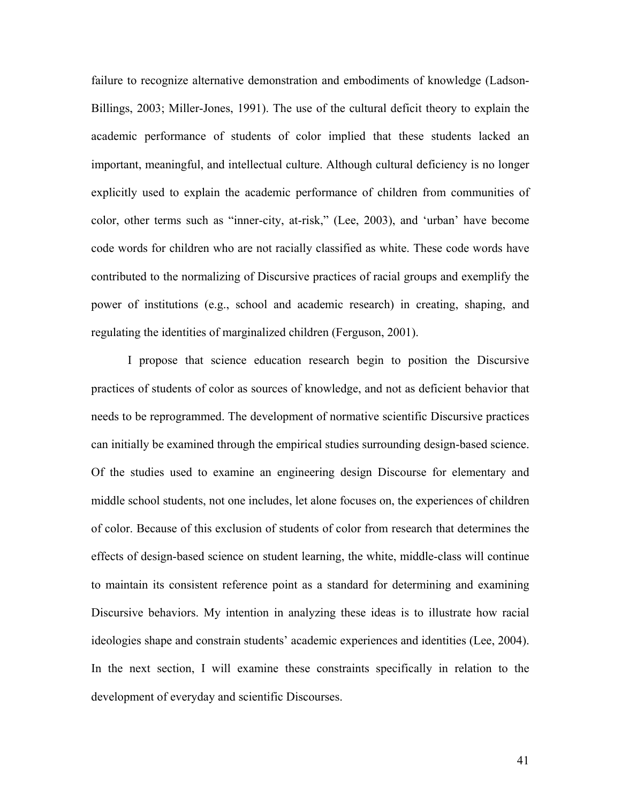failure to recognize alternative demonstration and embodiments of knowledge (Ladson-Billings, 2003; Miller-Jones, 1991). The use of the cultural deficit theory to explain the academic performance of students of color implied that these students lacked an important, meaningful, and intellectual culture. Although cultural deficiency is no longer explicitly used to explain the academic performance of children from communities of color, other terms such as "inner-city, at-risk," (Lee, 2003), and 'urban' have become code words for children who are not racially classified as white. These code words have contributed to the normalizing of Discursive practices of racial groups and exemplify the power of institutions (e.g., school and academic research) in creating, shaping, and regulating the identities of marginalized children (Ferguson, 2001).

 I propose that science education research begin to position the Discursive practices of students of color as sources of knowledge, and not as deficient behavior that needs to be reprogrammed. The development of normative scientific Discursive practices can initially be examined through the empirical studies surrounding design-based science. Of the studies used to examine an engineering design Discourse for elementary and middle school students, not one includes, let alone focuses on, the experiences of children of color. Because of this exclusion of students of color from research that determines the effects of design-based science on student learning, the white, middle-class will continue to maintain its consistent reference point as a standard for determining and examining Discursive behaviors. My intention in analyzing these ideas is to illustrate how racial ideologies shape and constrain students' academic experiences and identities (Lee, 2004). In the next section, I will examine these constraints specifically in relation to the development of everyday and scientific Discourses.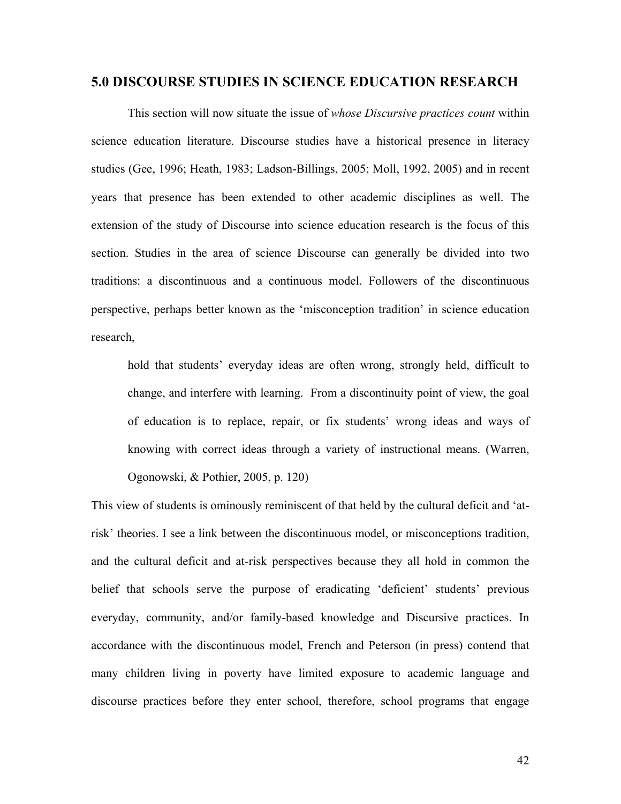### **5.0 DISCOURSE STUDIES IN SCIENCE EDUCATION RESEARCH**

 This section will now situate the issue of *whose Discursive practices count* within science education literature. Discourse studies have a historical presence in literacy studies (Gee, 1996; Heath, 1983; Ladson-Billings, 2005; Moll, 1992, 2005) and in recent years that presence has been extended to other academic disciplines as well. The extension of the study of Discourse into science education research is the focus of this section. Studies in the area of science Discourse can generally be divided into two traditions: a discontinuous and a continuous model. Followers of the discontinuous perspective, perhaps better known as the 'misconception tradition' in science education research,

hold that students' everyday ideas are often wrong, strongly held, difficult to change, and interfere with learning. From a discontinuity point of view, the goal of education is to replace, repair, or fix students' wrong ideas and ways of knowing with correct ideas through a variety of instructional means. (Warren, Ogonowski, & Pothier, 2005, p. 120)

This view of students is ominously reminiscent of that held by the cultural deficit and 'atrisk' theories. I see a link between the discontinuous model, or misconceptions tradition, and the cultural deficit and at-risk perspectives because they all hold in common the belief that schools serve the purpose of eradicating 'deficient' students' previous everyday, community, and/or family-based knowledge and Discursive practices. In accordance with the discontinuous model, French and Peterson (in press) contend that many children living in poverty have limited exposure to academic language and discourse practices before they enter school, therefore, school programs that engage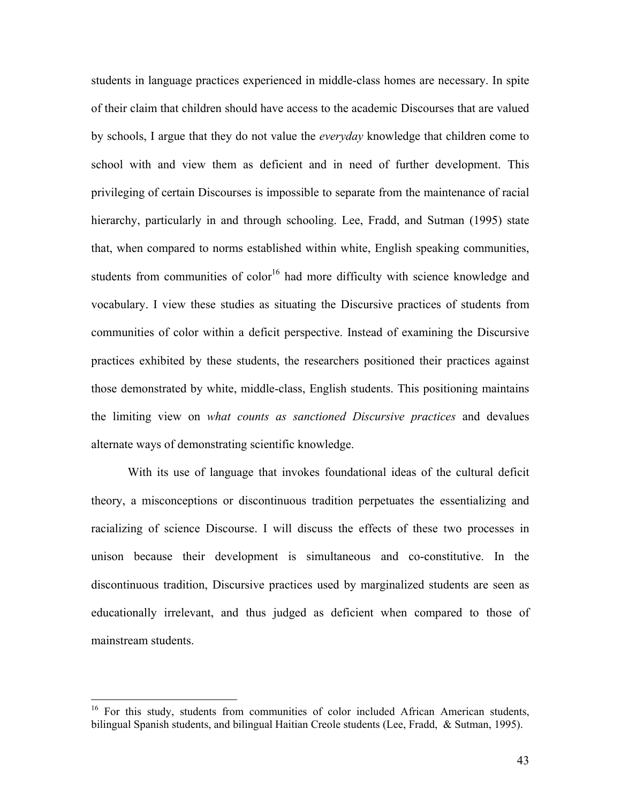students in language practices experienced in middle-class homes are necessary. In spite of their claim that children should have access to the academic Discourses that are valued by schools, I argue that they do not value the *everyday* knowledge that children come to school with and view them as deficient and in need of further development. This privileging of certain Discourses is impossible to separate from the maintenance of racial hierarchy, particularly in and through schooling. Lee, Fradd, and Sutman (1995) state that, when compared to norms established within white, English speaking communities, students from communities of color<sup>16</sup> had more difficulty with science knowledge and vocabulary. I view these studies as situating the Discursive practices of students from communities of color within a deficit perspective. Instead of examining the Discursive practices exhibited by these students, the researchers positioned their practices against those demonstrated by white, middle-class, English students. This positioning maintains the limiting view on *what counts as sanctioned Discursive practices* and devalues alternate ways of demonstrating scientific knowledge.

 With its use of language that invokes foundational ideas of the cultural deficit theory, a misconceptions or discontinuous tradition perpetuates the essentializing and racializing of science Discourse. I will discuss the effects of these two processes in unison because their development is simultaneous and co-constitutive. In the discontinuous tradition, Discursive practices used by marginalized students are seen as educationally irrelevant, and thus judged as deficient when compared to those of mainstream students.

 $\overline{a}$ 

 $16$  For this study, students from communities of color included African American students, bilingual Spanish students, and bilingual Haitian Creole students (Lee, Fradd, & Sutman, 1995).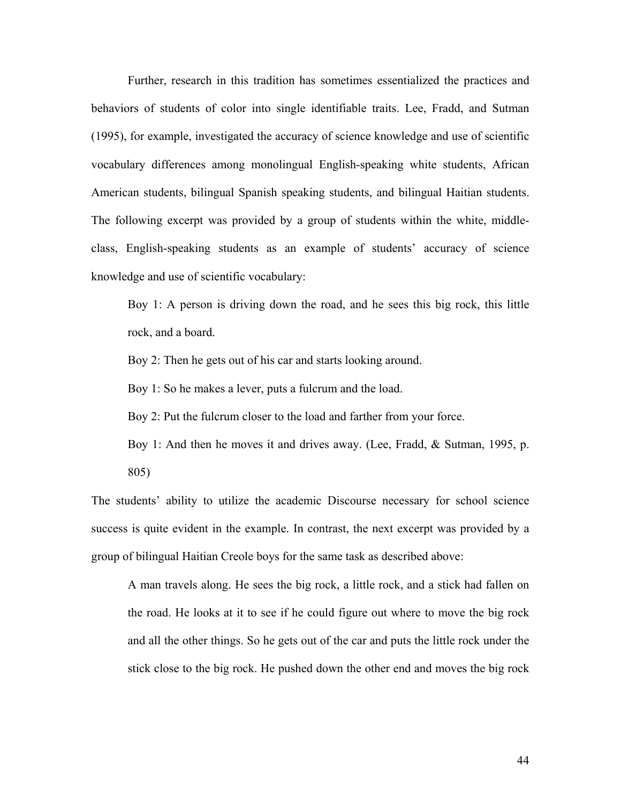Further, research in this tradition has sometimes essentialized the practices and behaviors of students of color into single identifiable traits. Lee, Fradd, and Sutman (1995), for example, investigated the accuracy of science knowledge and use of scientific vocabulary differences among monolingual English-speaking white students, African American students, bilingual Spanish speaking students, and bilingual Haitian students. The following excerpt was provided by a group of students within the white, middleclass, English-speaking students as an example of students' accuracy of science knowledge and use of scientific vocabulary:

Boy 1: A person is driving down the road, and he sees this big rock, this little rock, and a board.

Boy 2: Then he gets out of his car and starts looking around.

Boy 1: So he makes a lever, puts a fulcrum and the load.

Boy 2: Put the fulcrum closer to the load and farther from your force.

Boy 1: And then he moves it and drives away. (Lee, Fradd, & Sutman, 1995, p. 805)

The students' ability to utilize the academic Discourse necessary for school science success is quite evident in the example. In contrast, the next excerpt was provided by a group of bilingual Haitian Creole boys for the same task as described above:

A man travels along. He sees the big rock, a little rock, and a stick had fallen on the road. He looks at it to see if he could figure out where to move the big rock and all the other things. So he gets out of the car and puts the little rock under the stick close to the big rock. He pushed down the other end and moves the big rock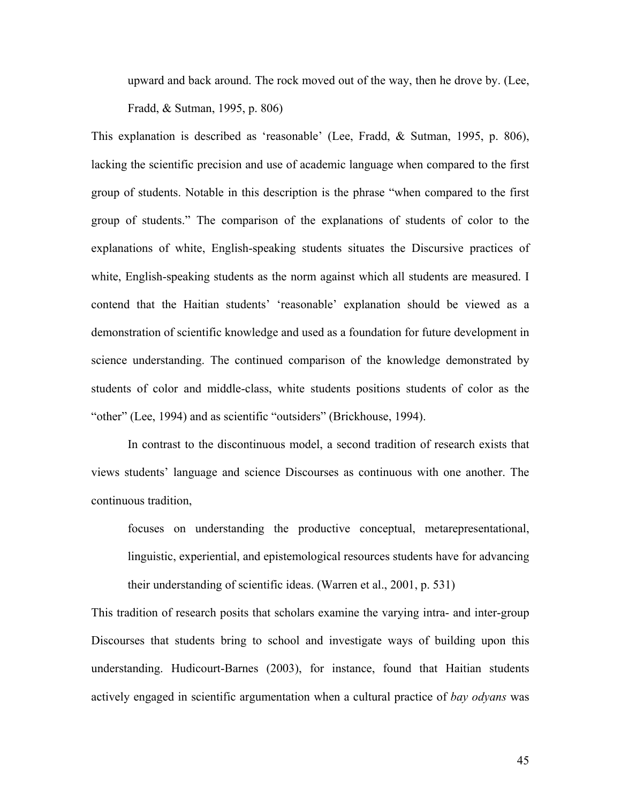upward and back around. The rock moved out of the way, then he drove by. (Lee, Fradd, & Sutman, 1995, p. 806)

This explanation is described as 'reasonable' (Lee, Fradd, & Sutman, 1995, p. 806), lacking the scientific precision and use of academic language when compared to the first group of students. Notable in this description is the phrase "when compared to the first group of students." The comparison of the explanations of students of color to the explanations of white, English-speaking students situates the Discursive practices of white, English-speaking students as the norm against which all students are measured. I contend that the Haitian students' 'reasonable' explanation should be viewed as a demonstration of scientific knowledge and used as a foundation for future development in science understanding. The continued comparison of the knowledge demonstrated by students of color and middle-class, white students positions students of color as the "other" (Lee, 1994) and as scientific "outsiders" (Brickhouse, 1994).

 In contrast to the discontinuous model, a second tradition of research exists that views students' language and science Discourses as continuous with one another. The continuous tradition,

focuses on understanding the productive conceptual, metarepresentational, linguistic, experiential, and epistemological resources students have for advancing their understanding of scientific ideas. (Warren et al., 2001, p. 531)

This tradition of research posits that scholars examine the varying intra- and inter-group Discourses that students bring to school and investigate ways of building upon this understanding. Hudicourt-Barnes (2003), for instance, found that Haitian students actively engaged in scientific argumentation when a cultural practice of *bay odyans* was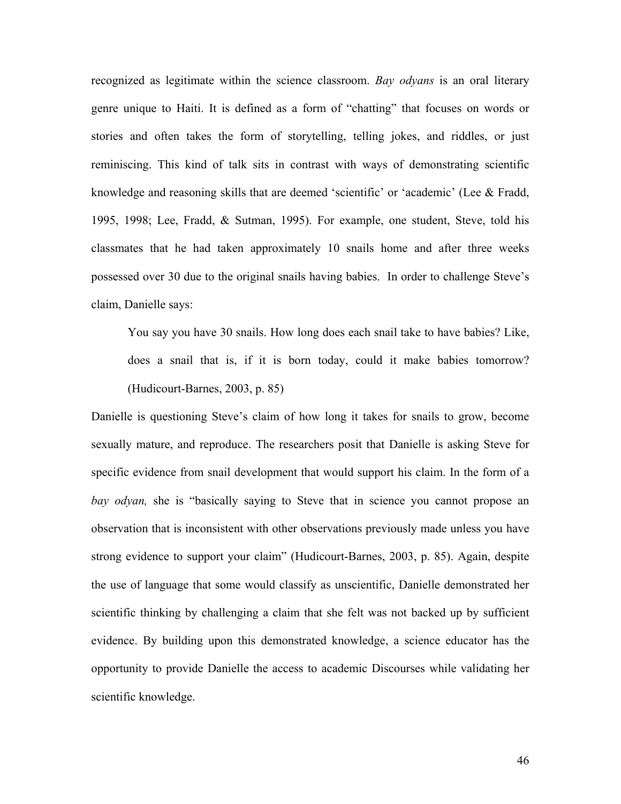recognized as legitimate within the science classroom. *Bay odyans* is an oral literary genre unique to Haiti. It is defined as a form of "chatting" that focuses on words or stories and often takes the form of storytelling, telling jokes, and riddles, or just reminiscing. This kind of talk sits in contrast with ways of demonstrating scientific knowledge and reasoning skills that are deemed 'scientific' or 'academic' (Lee & Fradd, 1995, 1998; Lee, Fradd, & Sutman, 1995). For example, one student, Steve, told his classmates that he had taken approximately 10 snails home and after three weeks possessed over 30 due to the original snails having babies. In order to challenge Steve's claim, Danielle says:

You say you have 30 snails. How long does each snail take to have babies? Like, does a snail that is, if it is born today, could it make babies tomorrow? (Hudicourt-Barnes, 2003, p. 85)

Danielle is questioning Steve's claim of how long it takes for snails to grow, become sexually mature, and reproduce. The researchers posit that Danielle is asking Steve for specific evidence from snail development that would support his claim. In the form of a *bay odyan,* she is "basically saying to Steve that in science you cannot propose an observation that is inconsistent with other observations previously made unless you have strong evidence to support your claim" (Hudicourt-Barnes, 2003, p. 85). Again, despite the use of language that some would classify as unscientific, Danielle demonstrated her scientific thinking by challenging a claim that she felt was not backed up by sufficient evidence. By building upon this demonstrated knowledge, a science educator has the opportunity to provide Danielle the access to academic Discourses while validating her scientific knowledge.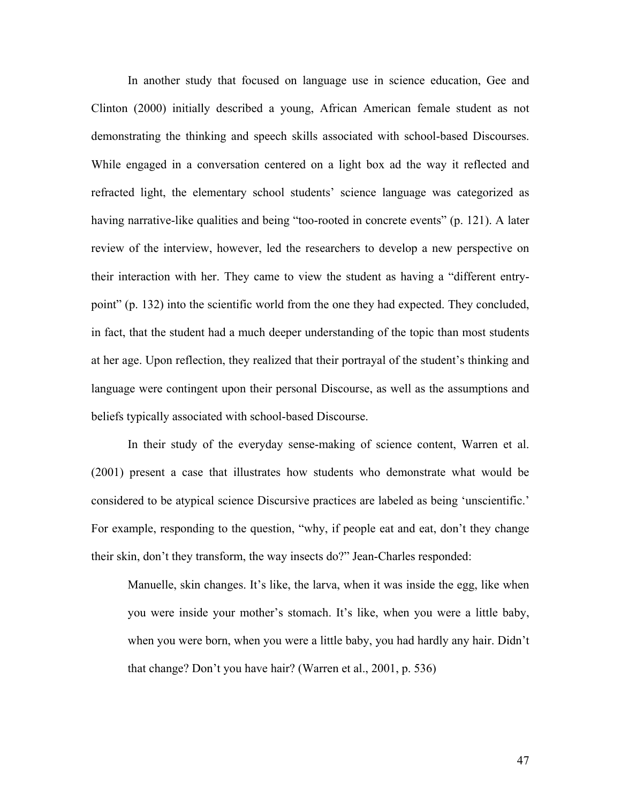In another study that focused on language use in science education, Gee and Clinton (2000) initially described a young, African American female student as not demonstrating the thinking and speech skills associated with school-based Discourses. While engaged in a conversation centered on a light box ad the way it reflected and refracted light, the elementary school students' science language was categorized as having narrative-like qualities and being "too-rooted in concrete events" (p. 121). A later review of the interview, however, led the researchers to develop a new perspective on their interaction with her. They came to view the student as having a "different entrypoint" (p. 132) into the scientific world from the one they had expected. They concluded, in fact, that the student had a much deeper understanding of the topic than most students at her age. Upon reflection, they realized that their portrayal of the student's thinking and language were contingent upon their personal Discourse, as well as the assumptions and beliefs typically associated with school-based Discourse.

 In their study of the everyday sense-making of science content, Warren et al. (2001) present a case that illustrates how students who demonstrate what would be considered to be atypical science Discursive practices are labeled as being 'unscientific.' For example, responding to the question, "why, if people eat and eat, don't they change their skin, don't they transform, the way insects do?" Jean-Charles responded:

Manuelle, skin changes. It's like, the larva, when it was inside the egg, like when you were inside your mother's stomach. It's like, when you were a little baby, when you were born, when you were a little baby, you had hardly any hair. Didn't that change? Don't you have hair? (Warren et al., 2001, p. 536)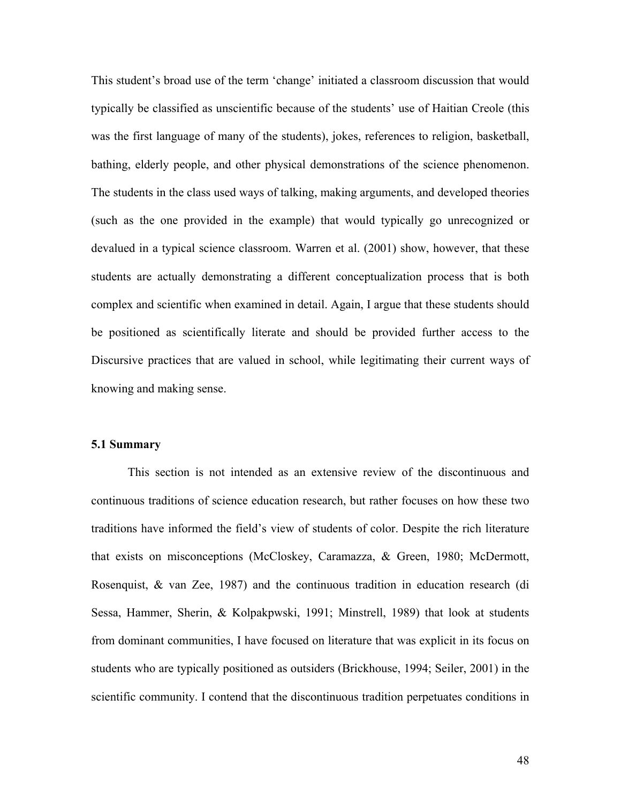This student's broad use of the term 'change' initiated a classroom discussion that would typically be classified as unscientific because of the students' use of Haitian Creole (this was the first language of many of the students), jokes, references to religion, basketball, bathing, elderly people, and other physical demonstrations of the science phenomenon. The students in the class used ways of talking, making arguments, and developed theories (such as the one provided in the example) that would typically go unrecognized or devalued in a typical science classroom. Warren et al. (2001) show, however, that these students are actually demonstrating a different conceptualization process that is both complex and scientific when examined in detail. Again, I argue that these students should be positioned as scientifically literate and should be provided further access to the Discursive practices that are valued in school, while legitimating their current ways of knowing and making sense.

#### **5.1 Summary**

This section is not intended as an extensive review of the discontinuous and continuous traditions of science education research, but rather focuses on how these two traditions have informed the field's view of students of color. Despite the rich literature that exists on misconceptions (McCloskey, Caramazza, & Green, 1980; McDermott, Rosenquist, & van Zee, 1987) and the continuous tradition in education research (di Sessa, Hammer, Sherin, & Kolpakpwski, 1991; Minstrell, 1989) that look at students from dominant communities, I have focused on literature that was explicit in its focus on students who are typically positioned as outsiders (Brickhouse, 1994; Seiler, 2001) in the scientific community. I contend that the discontinuous tradition perpetuates conditions in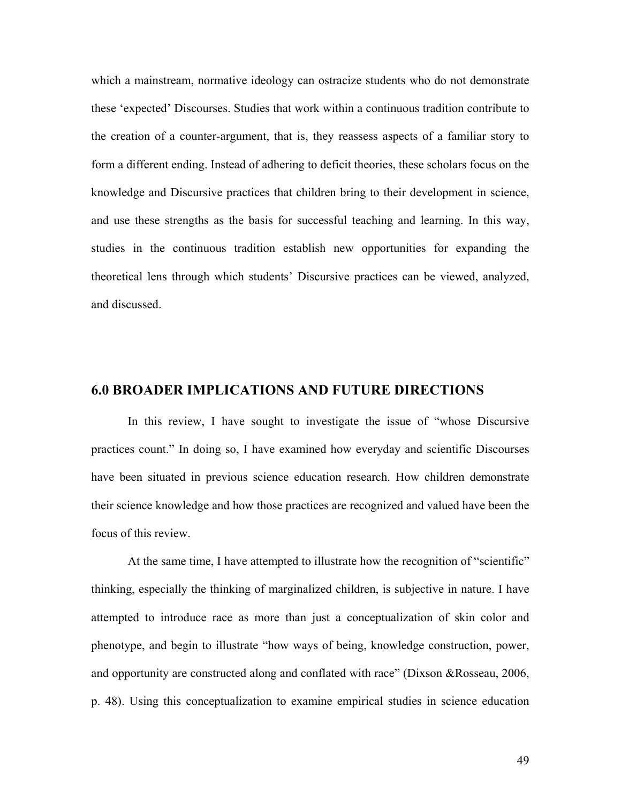which a mainstream, normative ideology can ostracize students who do not demonstrate these 'expected' Discourses. Studies that work within a continuous tradition contribute to the creation of a counter-argument, that is, they reassess aspects of a familiar story to form a different ending. Instead of adhering to deficit theories, these scholars focus on the knowledge and Discursive practices that children bring to their development in science, and use these strengths as the basis for successful teaching and learning. In this way, studies in the continuous tradition establish new opportunities for expanding the theoretical lens through which students' Discursive practices can be viewed, analyzed, and discussed.

# **6.0 BROADER IMPLICATIONS AND FUTURE DIRECTIONS**

 In this review, I have sought to investigate the issue of "whose Discursive practices count." In doing so, I have examined how everyday and scientific Discourses have been situated in previous science education research. How children demonstrate their science knowledge and how those practices are recognized and valued have been the focus of this review.

At the same time, I have attempted to illustrate how the recognition of "scientific" thinking, especially the thinking of marginalized children, is subjective in nature. I have attempted to introduce race as more than just a conceptualization of skin color and phenotype, and begin to illustrate "how ways of being, knowledge construction, power, and opportunity are constructed along and conflated with race" (Dixson &Rosseau, 2006, p. 48). Using this conceptualization to examine empirical studies in science education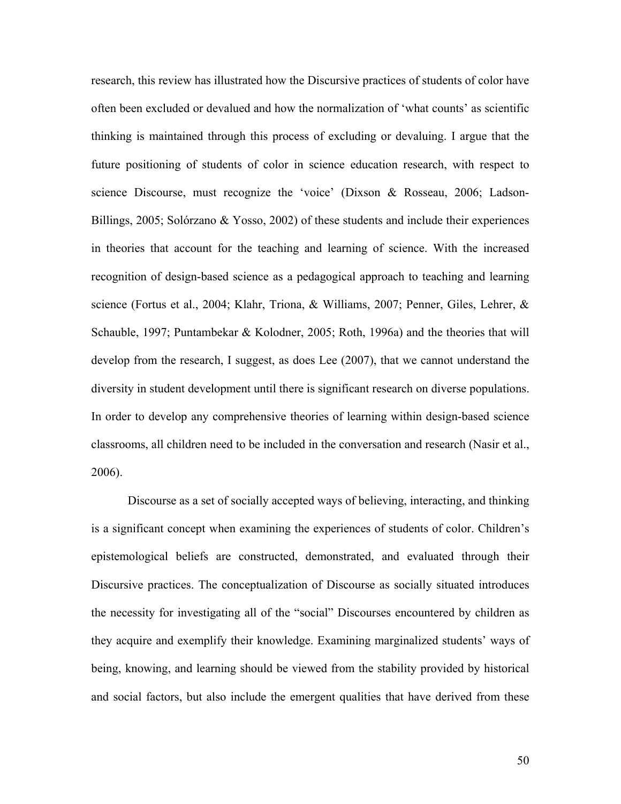research, this review has illustrated how the Discursive practices of students of color have often been excluded or devalued and how the normalization of 'what counts' as scientific thinking is maintained through this process of excluding or devaluing. I argue that the future positioning of students of color in science education research, with respect to science Discourse, must recognize the 'voice' (Dixson & Rosseau, 2006; Ladson-Billings, 2005; Solórzano & Yosso, 2002) of these students and include their experiences in theories that account for the teaching and learning of science. With the increased recognition of design-based science as a pedagogical approach to teaching and learning science (Fortus et al., 2004; Klahr, Triona, & Williams, 2007; Penner, Giles, Lehrer, & Schauble, 1997; Puntambekar & Kolodner, 2005; Roth, 1996a) and the theories that will develop from the research, I suggest, as does Lee (2007), that we cannot understand the diversity in student development until there is significant research on diverse populations. In order to develop any comprehensive theories of learning within design-based science classrooms, all children need to be included in the conversation and research (Nasir et al., 2006).

 Discourse as a set of socially accepted ways of believing, interacting, and thinking is a significant concept when examining the experiences of students of color. Children's epistemological beliefs are constructed, demonstrated, and evaluated through their Discursive practices. The conceptualization of Discourse as socially situated introduces the necessity for investigating all of the "social" Discourses encountered by children as they acquire and exemplify their knowledge. Examining marginalized students' ways of being, knowing, and learning should be viewed from the stability provided by historical and social factors, but also include the emergent qualities that have derived from these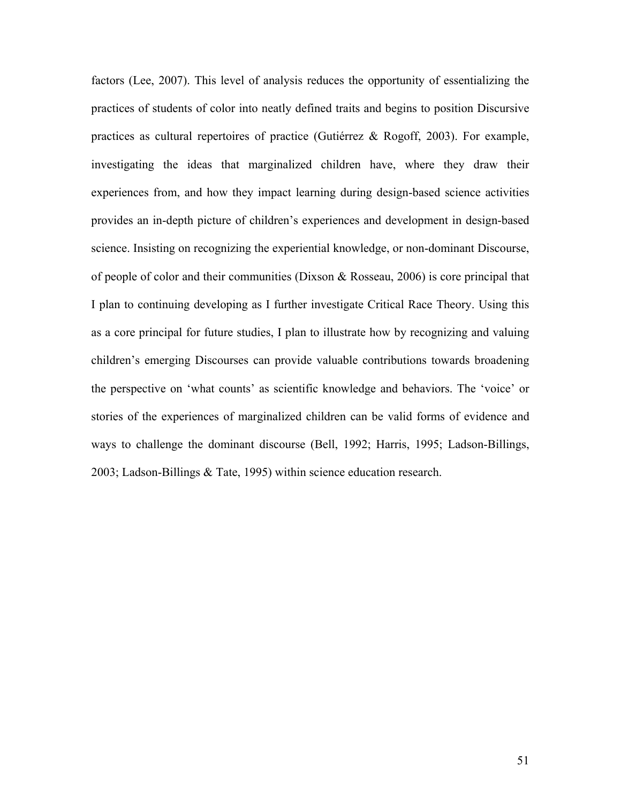factors (Lee, 2007). This level of analysis reduces the opportunity of essentializing the practices of students of color into neatly defined traits and begins to position Discursive practices as cultural repertoires of practice (Gutiérrez & Rogoff, 2003). For example, investigating the ideas that marginalized children have, where they draw their experiences from, and how they impact learning during design-based science activities provides an in-depth picture of children's experiences and development in design-based science. Insisting on recognizing the experiential knowledge, or non-dominant Discourse, of people of color and their communities (Dixson & Rosseau, 2006) is core principal that I plan to continuing developing as I further investigate Critical Race Theory. Using this as a core principal for future studies, I plan to illustrate how by recognizing and valuing children's emerging Discourses can provide valuable contributions towards broadening the perspective on 'what counts' as scientific knowledge and behaviors. The 'voice' or stories of the experiences of marginalized children can be valid forms of evidence and ways to challenge the dominant discourse (Bell, 1992; Harris, 1995; Ladson-Billings, 2003; Ladson-Billings & Tate, 1995) within science education research.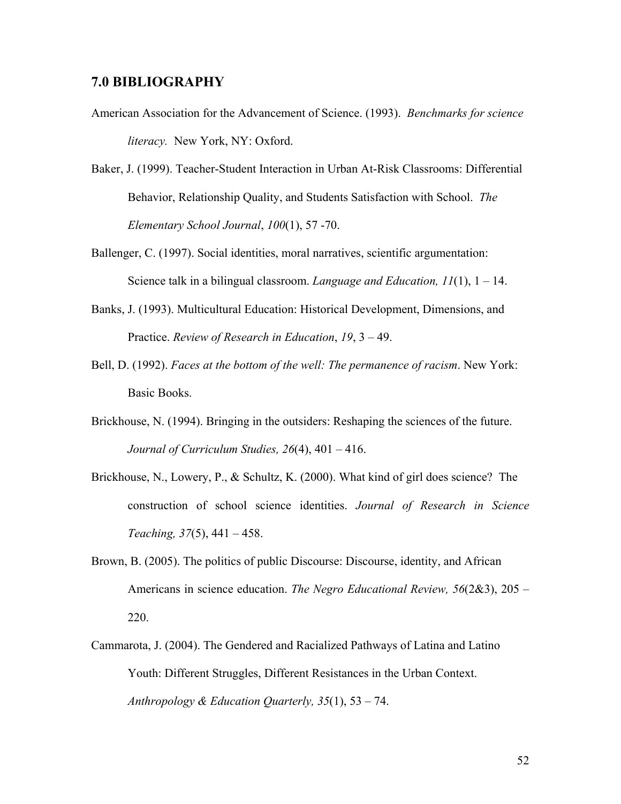### **7.0 BIBLIOGRAPHY**

- American Association for the Advancement of Science. (1993). *Benchmarks for science literacy.* New York, NY: Oxford.
- Baker, J. (1999). Teacher-Student Interaction in Urban At-Risk Classrooms: Differential Behavior, Relationship Quality, and Students Satisfaction with School. *The Elementary School Journal*, *100*(1), 57 -70.
- Ballenger, C. (1997). Social identities, moral narratives, scientific argumentation: Science talk in a bilingual classroom. *Language and Education, 11*(1), 1 – 14.
- Banks, J. (1993). Multicultural Education: Historical Development, Dimensions, and Practice. *Review of Research in Education*, *19*, 3 – 49.
- Bell, D. (1992). *Faces at the bottom of the well: The permanence of racism*. New York: Basic Books.
- Brickhouse, N. (1994). Bringing in the outsiders: Reshaping the sciences of the future. *Journal of Curriculum Studies, 26*(4), 401 – 416.
- Brickhouse, N., Lowery, P., & Schultz, K. (2000). What kind of girl does science? The construction of school science identities. *Journal of Research in Science Teaching, 37*(5), 441 – 458.
- Brown, B. (2005). The politics of public Discourse: Discourse, identity, and African Americans in science education. *The Negro Educational Review, 56*(2&3), 205 – 220.
- Cammarota, J. (2004). The Gendered and Racialized Pathways of Latina and Latino Youth: Different Struggles, Different Resistances in the Urban Context. *Anthropology & Education Quarterly, 35*(1), 53 – 74.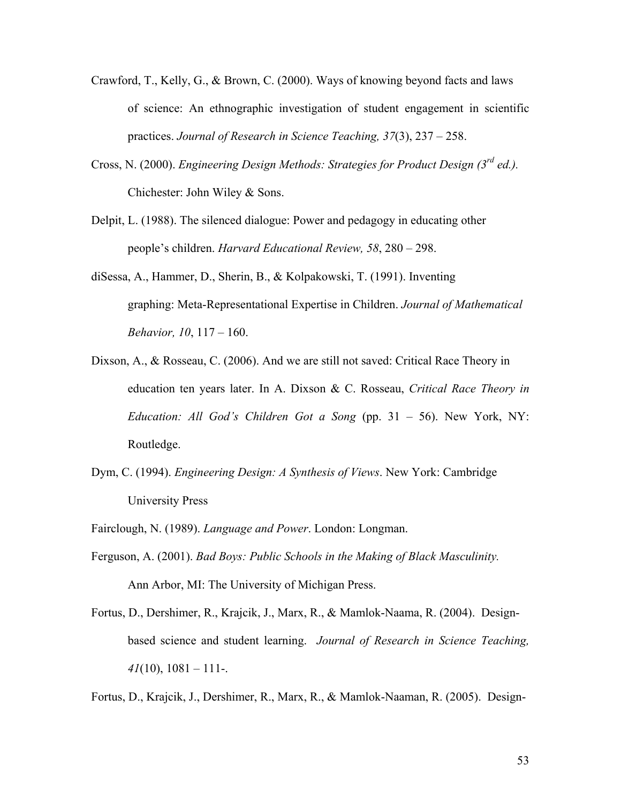- Crawford, T., Kelly, G., & Brown, C. (2000). Ways of knowing beyond facts and laws of science: An ethnographic investigation of student engagement in scientific practices. *Journal of Research in Science Teaching, 37*(3), 237 – 258.
- Cross, N. (2000). *Engineering Design Methods: Strategies for Product Design (3rd ed.).*  Chichester: John Wiley & Sons.
- Delpit, L. (1988). The silenced dialogue: Power and pedagogy in educating other people's children. *Harvard Educational Review, 58*, 280 – 298.
- diSessa, A., Hammer, D., Sherin, B., & Kolpakowski, T. (1991). Inventing graphing: Meta-Representational Expertise in Children. *Journal of Mathematical Behavior, 10*, 117 – 160.
- Dixson, A., & Rosseau, C. (2006). And we are still not saved: Critical Race Theory in education ten years later. In A. Dixson & C. Rosseau, *Critical Race Theory in Education: All God's Children Got a Song* (pp. 31 – 56). New York, NY: Routledge.
- Dym, C. (1994). *Engineering Design: A Synthesis of Views*. New York: Cambridge University Press
- Fairclough, N. (1989). *Language and Power*. London: Longman.
- Ferguson, A. (2001). *Bad Boys: Public Schools in the Making of Black Masculinity.*  Ann Arbor, MI: The University of Michigan Press.
- Fortus, D., Dershimer, R., Krajcik, J., Marx, R., & Mamlok-Naama, R. (2004). Designbased science and student learning. *Journal of Research in Science Teaching,*   $41(10)$ ,  $1081 - 111$ -.
- Fortus, D., Krajcik, J., Dershimer, R., Marx, R., & Mamlok-Naaman, R. (2005). Design-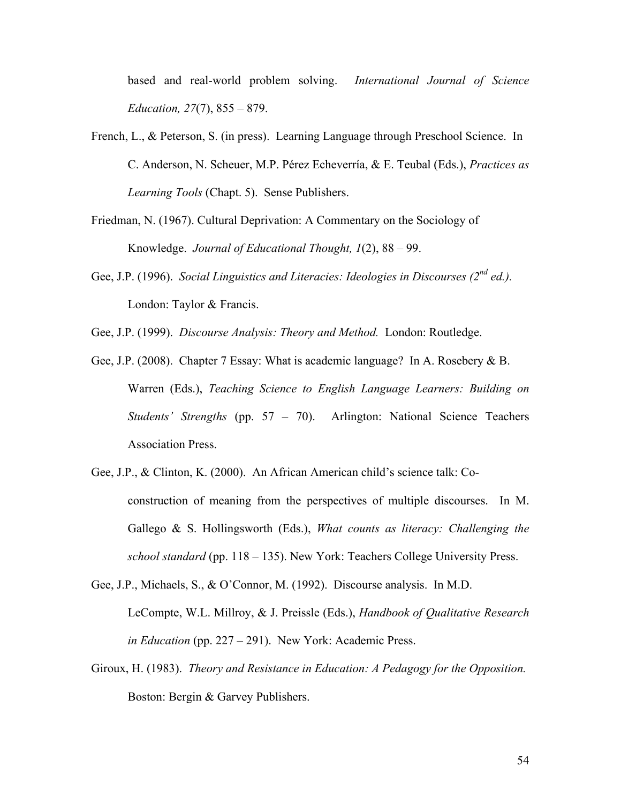based and real-world problem solving. *International Journal of Science Education, 27*(7), 855 – 879.

- French, L., & Peterson, S. (in press). Learning Language through Preschool Science. In C. Anderson, N. Scheuer, M.P. Pérez Echeverría, & E. Teubal (Eds.), *Practices as Learning Tools* (Chapt. 5). Sense Publishers.
- Friedman, N. (1967). Cultural Deprivation: A Commentary on the Sociology of Knowledge. *Journal of Educational Thought, 1*(2), 88 – 99.
- Gee, J.P. (1996). *Social Linguistics and Literacies: Ideologies in Discourses (2nd ed.).*  London: Taylor & Francis.
- Gee, J.P. (1999). *Discourse Analysis: Theory and Method.* London: Routledge.
- Gee, J.P. (2008). Chapter 7 Essay: What is academic language? In A. Rosebery & B. Warren (Eds.), *Teaching Science to English Language Learners: Building on Students' Strengths* (pp. 57 – 70). Arlington: National Science Teachers Association Press.
- Gee, J.P., & Clinton, K. (2000). An African American child's science talk: Coconstruction of meaning from the perspectives of multiple discourses. In M. Gallego & S. Hollingsworth (Eds.), *What counts as literacy: Challenging the school standard* (pp. 118 – 135). New York: Teachers College University Press.
- Gee, J.P., Michaels, S., & O'Connor, M. (1992). Discourse analysis. In M.D. LeCompte, W.L. Millroy, & J. Preissle (Eds.), *Handbook of Qualitative Research in Education* (pp. 227 – 291). New York: Academic Press.
- Giroux, H. (1983). *Theory and Resistance in Education: A Pedagogy for the Opposition.*  Boston: Bergin & Garvey Publishers.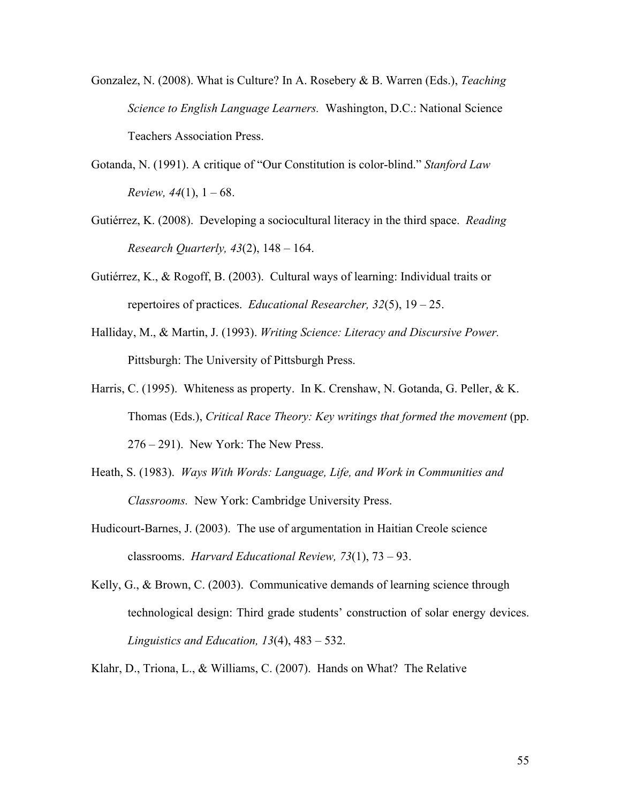- Gonzalez, N. (2008). What is Culture? In A. Rosebery & B. Warren (Eds.), *Teaching Science to English Language Learners.* Washington, D.C.: National Science Teachers Association Press.
- Gotanda, N. (1991). A critique of "Our Constitution is color-blind." *Stanford Law Review, 44*(1),  $1 - 68$ .
- Gutiérrez, K. (2008). Developing a sociocultural literacy in the third space. *Reading Research Quarterly, 43*(2), 148 – 164.
- Gutiérrez, K., & Rogoff, B. (2003). Cultural ways of learning: Individual traits or repertoires of practices. *Educational Researcher, 32*(5), 19 – 25.
- Halliday, M., & Martin, J. (1993). *Writing Science: Literacy and Discursive Power.*  Pittsburgh: The University of Pittsburgh Press.
- Harris, C. (1995). Whiteness as property. In K. Crenshaw, N. Gotanda, G. Peller, & K. Thomas (Eds.), *Critical Race Theory: Key writings that formed the movement* (pp. 276 – 291). New York: The New Press.
- Heath, S. (1983). *Ways With Words: Language, Life, and Work in Communities and Classrooms.* New York: Cambridge University Press.
- Hudicourt-Barnes, J. (2003). The use of argumentation in Haitian Creole science classrooms. *Harvard Educational Review, 73*(1), 73 – 93.
- Kelly, G., & Brown, C. (2003). Communicative demands of learning science through technological design: Third grade students' construction of solar energy devices. *Linguistics and Education, 13*(4), 483 – 532.
- Klahr, D., Triona, L., & Williams, C. (2007). Hands on What? The Relative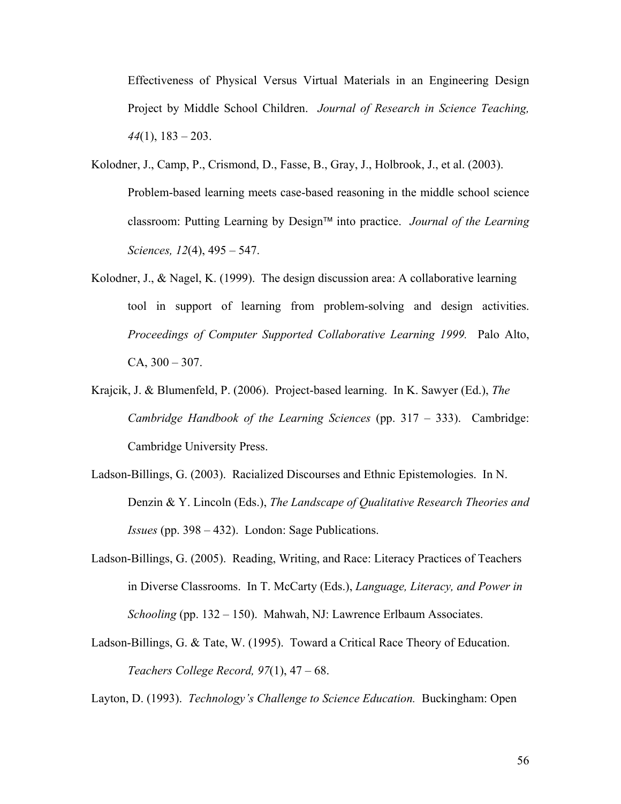Effectiveness of Physical Versus Virtual Materials in an Engineering Design Project by Middle School Children. *Journal of Research in Science Teaching, 44*(1), 183 – 203.

- Kolodner, J., Camp, P., Crismond, D., Fasse, B., Gray, J., Holbrook, J., et al. (2003). Problem-based learning meets case-based reasoning in the middle school science classroom: Putting Learning by Design™ into practice. *Journal of the Learning Sciences, 12*(4), 495 – 547.
- Kolodner, J., & Nagel, K. (1999). The design discussion area: A collaborative learning tool in support of learning from problem-solving and design activities. *Proceedings of Computer Supported Collaborative Learning 1999.* Palo Alto,  $CA, 300 - 307.$
- Krajcik, J. & Blumenfeld, P. (2006). Project-based learning. In K. Sawyer (Ed.), *The Cambridge Handbook of the Learning Sciences* (pp. 317 – 333). Cambridge: Cambridge University Press.
- Ladson-Billings, G. (2003). Racialized Discourses and Ethnic Epistemologies. In N. Denzin & Y. Lincoln (Eds.), *The Landscape of Qualitative Research Theories and Issues* (pp. 398 – 432). London: Sage Publications.
- Ladson-Billings, G. (2005). Reading, Writing, and Race: Literacy Practices of Teachers in Diverse Classrooms. In T. McCarty (Eds.), *Language, Literacy, and Power in Schooling* (pp. 132 – 150). Mahwah, NJ: Lawrence Erlbaum Associates.
- Ladson-Billings, G. & Tate, W. (1995). Toward a Critical Race Theory of Education. *Teachers College Record, 97*(1), 47 – 68.

Layton, D. (1993). *Technology's Challenge to Science Education.* Buckingham: Open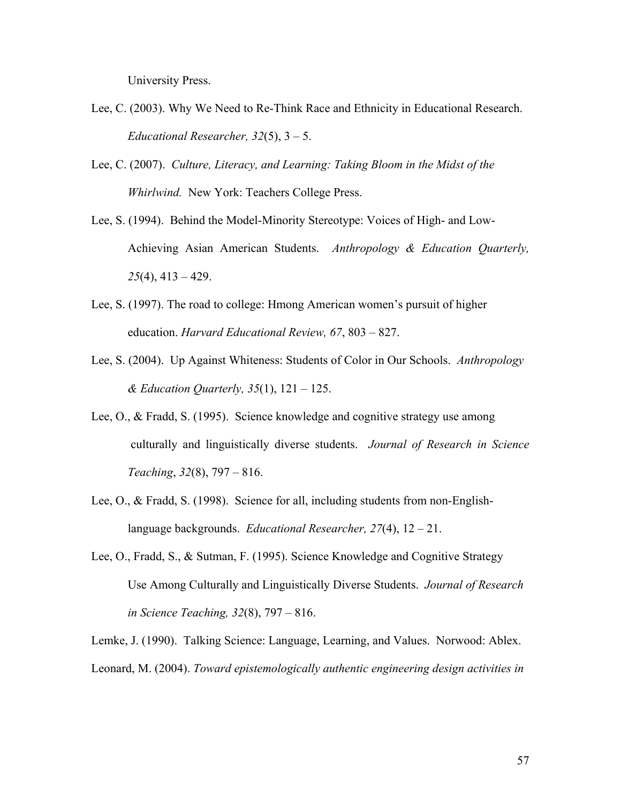University Press.

- Lee, C. (2003). Why We Need to Re-Think Race and Ethnicity in Educational Research. *Educational Researcher, 32*(5), 3 – 5.
- Lee, C. (2007). *Culture, Literacy, and Learning: Taking Bloom in the Midst of the Whirlwind.* New York: Teachers College Press.
- Lee, S. (1994). Behind the Model-Minority Stereotype: Voices of High- and Low-Achieving Asian American Students. *Anthropology & Education Quarterly, 25*(4), 413 – 429.
- Lee, S. (1997). The road to college: Hmong American women's pursuit of higher education. *Harvard Educational Review, 67*, 803 – 827.
- Lee, S. (2004). Up Against Whiteness: Students of Color in Our Schools. *Anthropology & Education Quarterly, 35*(1), 121 – 125.
- Lee, O., & Fradd, S. (1995). Science knowledge and cognitive strategy use among culturally and linguistically diverse students. *Journal of Research in Science Teaching*, *32*(8), 797 – 816.
- Lee, O., & Fradd, S. (1998). Science for all, including students from non-Englishlanguage backgrounds. *Educational Researcher, 27*(4), 12 – 21.
- Lee, O., Fradd, S., & Sutman, F. (1995). Science Knowledge and Cognitive Strategy Use Among Culturally and Linguistically Diverse Students. *Journal of Research in Science Teaching, 32*(8), 797 – 816.

Lemke, J. (1990). Talking Science: Language, Learning, and Values. Norwood: Ablex. Leonard, M. (2004). *Toward epistemologically authentic engineering design activities in*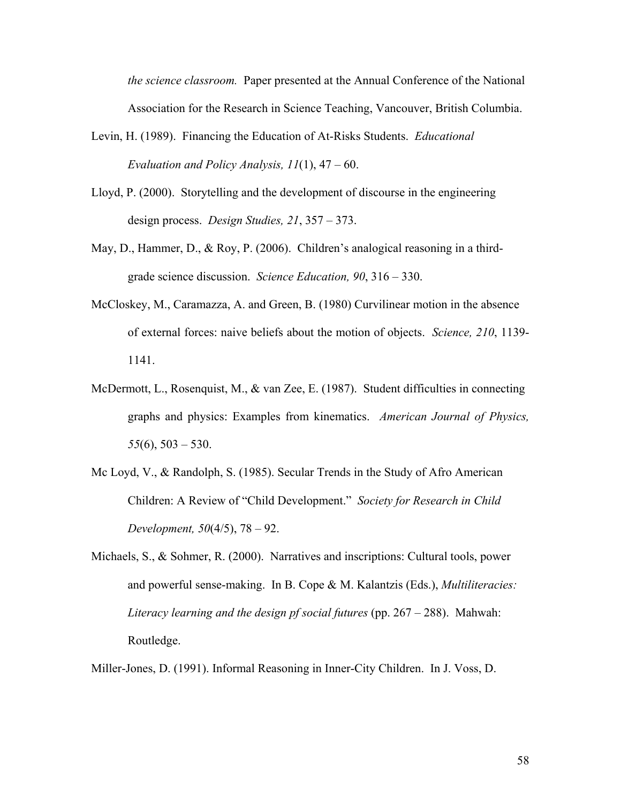*the science classroom.* Paper presented at the Annual Conference of the National Association for the Research in Science Teaching, Vancouver, British Columbia.

- Levin, H. (1989). Financing the Education of At-Risks Students. *Educational Evaluation and Policy Analysis, 11*(1), 47 – 60.
- Lloyd, P. (2000). Storytelling and the development of discourse in the engineering design process. *Design Studies, 21*, 357 – 373.
- May, D., Hammer, D., & Roy, P. (2006). Children's analogical reasoning in a thirdgrade science discussion. *Science Education, 90*, 316 – 330.
- McCloskey, M., Caramazza, A. and Green, B. (1980) Curvilinear motion in the absence of external forces: naive beliefs about the motion of objects. *Science, 210*, 1139- 1141.
- McDermott, L., Rosenquist, M., & van Zee, E. (1987). Student difficulties in connecting graphs and physics: Examples from kinematics. *American Journal of Physics, 55*(6), 503 – 530.
- Mc Loyd, V., & Randolph, S. (1985). Secular Trends in the Study of Afro American Children: A Review of "Child Development." *Society for Research in Child Development, 50*(4/5), 78 – 92.
- Michaels, S., & Sohmer, R. (2000). Narratives and inscriptions: Cultural tools, power and powerful sense-making. In B. Cope & M. Kalantzis (Eds.), *Multiliteracies: Literacy learning and the design pf social futures* (pp. 267 – 288). Mahwah: Routledge.

Miller-Jones, D. (1991). Informal Reasoning in Inner-City Children. In J. Voss, D.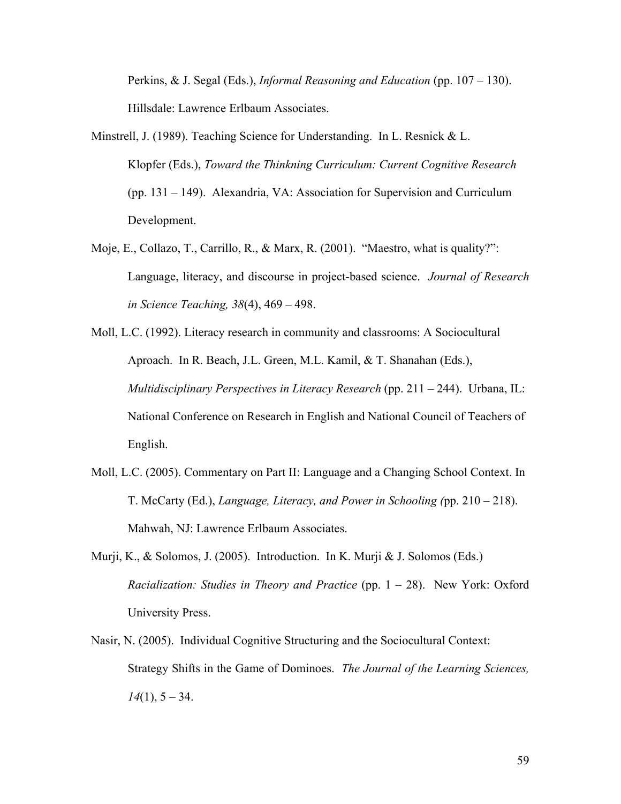Perkins, & J. Segal (Eds.), *Informal Reasoning and Education* (pp. 107 – 130). Hillsdale: Lawrence Erlbaum Associates.

- Minstrell, J. (1989). Teaching Science for Understanding. In L. Resnick & L. Klopfer (Eds.), *Toward the Thinkning Curriculum: Current Cognitive Research* (pp. 131 – 149). Alexandria, VA: Association for Supervision and Curriculum Development.
- Moje, E., Collazo, T., Carrillo, R., & Marx, R. (2001). "Maestro, what is quality?": Language, literacy, and discourse in project-based science. *Journal of Research in Science Teaching, 38*(4), 469 – 498.
- Moll, L.C. (1992). Literacy research in community and classrooms: A Sociocultural Aproach. In R. Beach, J.L. Green, M.L. Kamil, & T. Shanahan (Eds.), *Multidisciplinary Perspectives in Literacy Research* (pp. 211 – 244). Urbana, IL: National Conference on Research in English and National Council of Teachers of English.
- Moll, L.C. (2005). Commentary on Part II: Language and a Changing School Context. In T. McCarty (Ed.), *Language, Literacy, and Power in Schooling (*pp. 210 – 218). Mahwah, NJ: Lawrence Erlbaum Associates.
- Murji, K., & Solomos, J. (2005). Introduction. In K. Murji & J. Solomos (Eds.) *Racialization: Studies in Theory and Practice* (pp. 1 – 28). New York: Oxford University Press.
- Nasir, N. (2005). Individual Cognitive Structuring and the Sociocultural Context: Strategy Shifts in the Game of Dominoes. *The Journal of the Learning Sciences, 14*(1), 5 – 34.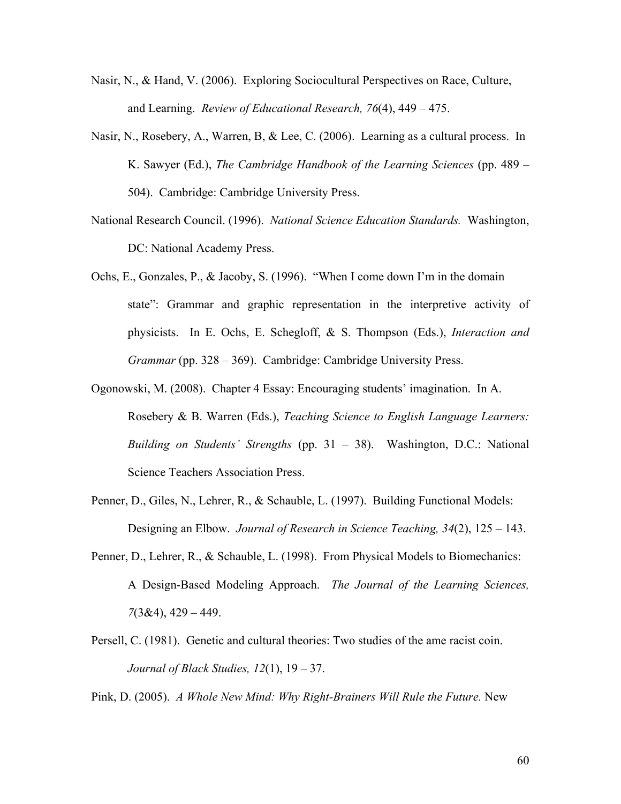- Nasir, N., & Hand, V. (2006). Exploring Sociocultural Perspectives on Race, Culture, and Learning. *Review of Educational Research, 76*(4), 449 – 475.
- Nasir, N., Rosebery, A., Warren, B, & Lee, C. (2006). Learning as a cultural process. In K. Sawyer (Ed.), *The Cambridge Handbook of the Learning Sciences* (pp. 489 – 504). Cambridge: Cambridge University Press.
- National Research Council. (1996). *National Science Education Standards.* Washington, DC: National Academy Press.
- Ochs, E., Gonzales, P., & Jacoby, S. (1996). "When I come down I'm in the domain state": Grammar and graphic representation in the interpretive activity of physicists. In E. Ochs, E. Schegloff, & S. Thompson (Eds.), *Interaction and Grammar* (pp. 328 – 369). Cambridge: Cambridge University Press.
- Ogonowski, M. (2008). Chapter 4 Essay: Encouraging students' imagination. In A. Rosebery & B. Warren (Eds.), *Teaching Science to English Language Learners: Building on Students' Strengths* (pp. 31 – 38). Washington, D.C.: National Science Teachers Association Press.
- Penner, D., Giles, N., Lehrer, R., & Schauble, L. (1997). Building Functional Models: Designing an Elbow. *Journal of Research in Science Teaching, 34*(2), 125 – 143.
- Penner, D., Lehrer, R., & Schauble, L. (1998). From Physical Models to Biomechanics: A Design-Based Modeling Approach. *The Journal of the Learning Sciences, 7*(3&4), 429 – 449.
- Persell, C. (1981). Genetic and cultural theories: Two studies of the ame racist coin. *Journal of Black Studies, 12*(1), 19 – 37.

Pink, D. (2005). *A Whole New Mind: Why Right-Brainers Will Rule the Future.* New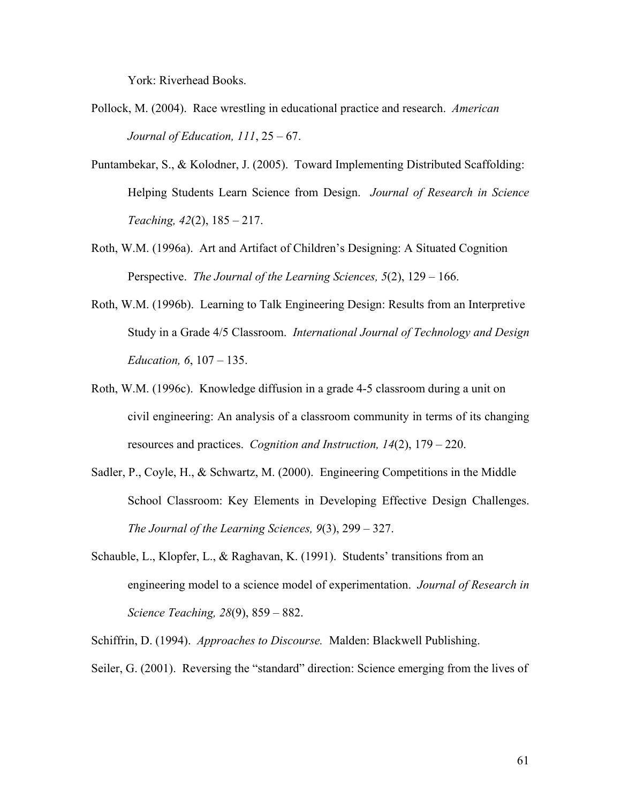York: Riverhead Books.

- Pollock, M. (2004). Race wrestling in educational practice and research. *American Journal of Education, 111*, 25 – 67.
- Puntambekar, S., & Kolodner, J. (2005). Toward Implementing Distributed Scaffolding: Helping Students Learn Science from Design. *Journal of Research in Science Teaching, 42*(2), 185 – 217.
- Roth, W.M. (1996a). Art and Artifact of Children's Designing: A Situated Cognition Perspective. *The Journal of the Learning Sciences, 5*(2), 129 – 166.
- Roth, W.M. (1996b). Learning to Talk Engineering Design: Results from an Interpretive Study in a Grade 4/5 Classroom. *International Journal of Technology and Design Education, 6*, 107 – 135.
- Roth, W.M. (1996c). Knowledge diffusion in a grade 4-5 classroom during a unit on civil engineering: An analysis of a classroom community in terms of its changing resources and practices. *Cognition and Instruction, 14*(2), 179 – 220.
- Sadler, P., Coyle, H., & Schwartz, M. (2000). Engineering Competitions in the Middle School Classroom: Key Elements in Developing Effective Design Challenges. *The Journal of the Learning Sciences, 9*(3), 299 – 327.
- Schauble, L., Klopfer, L., & Raghavan, K. (1991). Students' transitions from an engineering model to a science model of experimentation. *Journal of Research in Science Teaching, 28*(9), 859 – 882.

Schiffrin, D. (1994). *Approaches to Discourse.* Malden: Blackwell Publishing.

Seiler, G. (2001). Reversing the "standard" direction: Science emerging from the lives of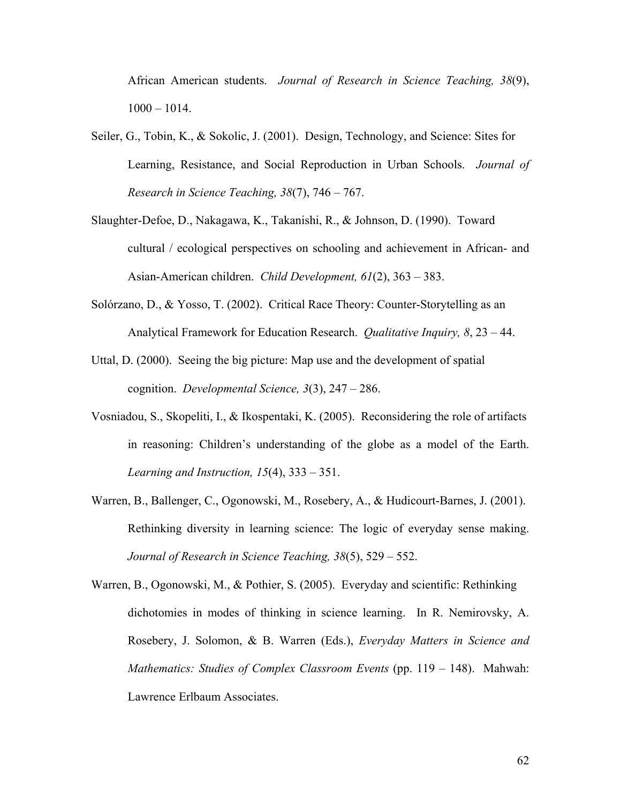African American students. *Journal of Research in Science Teaching, 38*(9), 1000 – 1014.

- Seiler, G., Tobin, K., & Sokolic, J. (2001). Design, Technology, and Science: Sites for Learning, Resistance, and Social Reproduction in Urban Schools. *Journal of Research in Science Teaching, 38*(7), 746 – 767.
- Slaughter-Defoe, D., Nakagawa, K., Takanishi, R., & Johnson, D. (1990). Toward cultural / ecological perspectives on schooling and achievement in African- and Asian-American children. *Child Development, 61*(2), 363 – 383.
- Solórzano, D., & Yosso, T. (2002). Critical Race Theory: Counter-Storytelling as an Analytical Framework for Education Research. *Qualitative Inquiry, 8*, 23 – 44.
- Uttal, D. (2000). Seeing the big picture: Map use and the development of spatial cognition. *Developmental Science, 3*(3), 247 – 286.
- Vosniadou, S., Skopeliti, I., & Ikospentaki, K. (2005). Reconsidering the role of artifacts in reasoning: Children's understanding of the globe as a model of the Earth. *Learning and Instruction, 15*(4), 333 – 351.
- Warren, B., Ballenger, C., Ogonowski, M., Rosebery, A., & Hudicourt-Barnes, J. (2001). Rethinking diversity in learning science: The logic of everyday sense making. *Journal of Research in Science Teaching, 38*(5), 529 – 552.
- Warren, B., Ogonowski, M., & Pothier, S. (2005). Everyday and scientific: Rethinking dichotomies in modes of thinking in science learning. In R. Nemirovsky, A. Rosebery, J. Solomon, & B. Warren (Eds.), *Everyday Matters in Science and Mathematics: Studies of Complex Classroom Events* (pp. 119 – 148). Mahwah: Lawrence Erlbaum Associates.